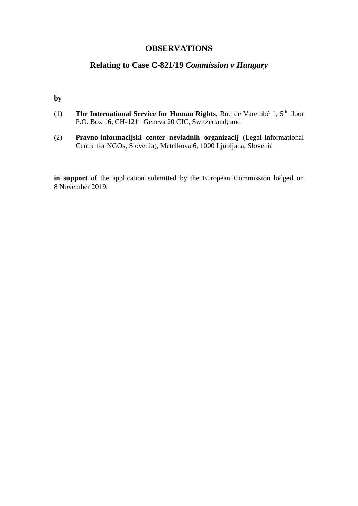## **OBSERVATIONS**

# **Relating to Case C-821/19** *Commission v Hungary*

**by** 

- (1) **The International Service for Human Rights**, Rue de Varembé 1, 5th floor P.O. Box 16, CH-1211 Geneva 20 CIC, Switzerland; and
- (2) **Pravno-informacijski center nevladnih organizacij** (Legal-Informational Centre for NGOs, Slovenia), Metelkova 6, 1000 Ljubljana, Slovenia

**in support** of the application submitted by the European Commission lodged on 8 November 2019.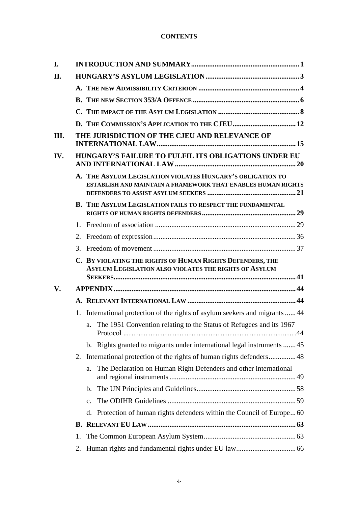#### **CONTENTS**

| I.   |                |                                                                                                                            |
|------|----------------|----------------------------------------------------------------------------------------------------------------------------|
| II.  |                |                                                                                                                            |
|      |                |                                                                                                                            |
|      |                |                                                                                                                            |
|      |                |                                                                                                                            |
|      |                |                                                                                                                            |
| III. |                | THE JURISDICTION OF THE CJEU AND RELEVANCE OF                                                                              |
| IV.  |                | HUNGARY'S FAILURE TO FULFIL ITS OBLIGATIONS UNDER EU                                                                       |
|      |                | A. THE ASYLUM LEGISLATION VIOLATES HUNGARY'S OBLIGATION TO<br>ESTABLISH AND MAINTAIN A FRAMEWORK THAT ENABLES HUMAN RIGHTS |
|      |                | B. THE ASYLUM LEGISLATION FAILS TO RESPECT THE FUNDAMENTAL                                                                 |
|      | 1 <sub>1</sub> |                                                                                                                            |
|      |                |                                                                                                                            |
|      | 3.             |                                                                                                                            |
|      |                | C. BY VIOLATING THE RIGHTS OF HUMAN RIGHTS DEFENDERS, THE<br><b>ASYLUM LEGISLATION ALSO VIOLATES THE RIGHTS OF ASYLUM</b>  |
| V.   |                |                                                                                                                            |
|      |                |                                                                                                                            |
|      | 1.             | International protection of the rights of asylum seekers and migrants  44                                                  |
|      |                | a. The 1951 Convention relating to the Status of Refugees and its 1967                                                     |
|      |                | Rights granted to migrants under international legal instruments 45<br>$\mathbf{b}$ .                                      |
|      | 2.             |                                                                                                                            |
|      |                | The Declaration on Human Right Defenders and other international<br>a.                                                     |
|      |                | $\mathbf{b}$ .                                                                                                             |
|      |                | $C_{\bullet}$                                                                                                              |
|      |                | Protection of human rights defenders within the Council of Europe 60<br>d.                                                 |
|      |                |                                                                                                                            |
|      | 1.             |                                                                                                                            |
|      | 2.             |                                                                                                                            |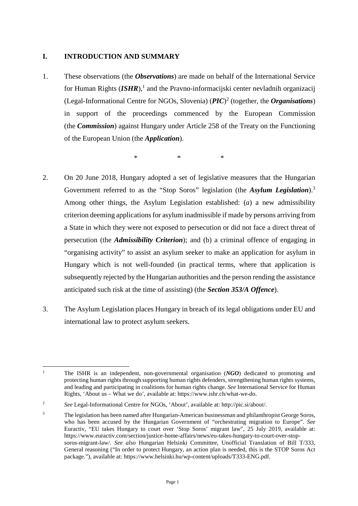### <span id="page-2-0"></span>**I. INTRODUCTION AND SUMMARY**

1. These observations (the *Observations*) are made on behalf of the International Service for Human Rights (*ISHR*),<sup>[1](#page-2-1)</sup> and the Pravno-informacijski center nevladnih organizacij (Legal-Informational Centre for NGOs, Slovenia) (*PIC*) [2](#page-2-2) (together, the *Organisations*) in support of the proceedings commenced by the European Commission (the *Commission*) against Hungary under Article 258 of the Treaty on the Functioning of the European Union (the *Application*).

 $*$  \*  $*$  \*

- 2. On 20 June 2018, Hungary adopted a set of legislative measures that the Hungarian Government referred to as the "Stop Soros" legislation (the *Asylum Legislation*).[3](#page-2-3) Among other things, the Asylum Legislation established: (*a*) a new admissibility criterion deeming applications for asylum inadmissible if made by persons arriving from a State in which they were not exposed to persecution or did not face a direct threat of persecution (the *Admissibility Criterion*); and (b) a criminal offence of engaging in "organising activity" to assist an asylum seeker to make an application for asylum in Hungary which is not well-founded (in practical terms, where that application is subsequently rejected by the Hungarian authorities and the person rending the assistance anticipated such risk at the time of assisting) (the *Section 353/A Offence*).
- 3. The Asylum Legislation places Hungary in breach of its legal obligations under EU and international law to protect asylum seekers.

<span id="page-2-1"></span><sup>&</sup>lt;sup>1</sup> The ISHR is an independent, non-governmental organisation (*NGO*) dedicated to promoting and protecting human rights through supporting human rights defenders, strengthening human rights systems, and leading and participating in coalitions for human rights change. *See* International Service for Human Rights, 'About us – What we do', available at: https://www.ishr.ch/what-we-do.

<span id="page-2-2"></span><sup>2</sup> *See* Legal-Informational Centre for NGOs, 'About', available at: http://pic.si/about/.

<span id="page-2-3"></span><sup>3</sup> The legislation has been named after Hungarian-American businessman and philanthropist George Soros, who has been accused by the Hungarian Government of "orchestrating migration to Europe". *See*  Euractiv, "EU takes Hungary to court over 'Stop Soros' migrant law", 25 July 2019, available at: https://www.euractiv.com/section/justice-home-affairs/news/eu-takes-hungary-to-court-over-stopsoros-migrant-law/. *See also* Hungarian Helsinki Committee, Unofficial Translation of Bill T/333, General reasoning ("In order to protect Hungary, an action plan is needed, this is the STOP Soros Act package."), available at: https://www.helsinki.hu/wp-content/uploads/T333-ENG.pdf.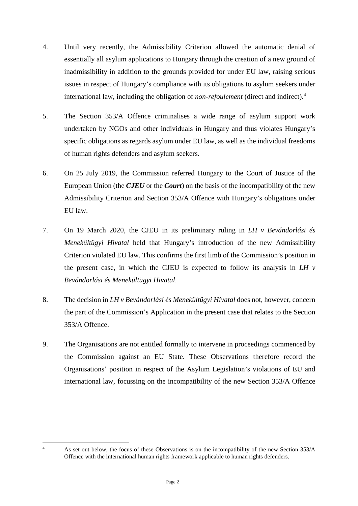- 4. Until very recently, the Admissibility Criterion allowed the automatic denial of essentially all asylum applications to Hungary through the creation of a new ground of inadmissibility in addition to the grounds provided for under EU law, raising serious issues in respect of Hungary's compliance with its obligations to asylum seekers under international law, including the obligation of *non-refoulement* (direct and indirect).[4](#page-3-0)
- 5. The Section 353/A Offence criminalises a wide range of asylum support work undertaken by NGOs and other individuals in Hungary and thus violates Hungary's specific obligations as regards asylum under EU law, as well as the individual freedoms of human rights defenders and asylum seekers.
- 6. On 25 July 2019, the Commission referred Hungary to the Court of Justice of the European Union (the *CJEU* or the *Court*) on the basis of the incompatibility of the new Admissibility Criterion and Section 353/A Offence with Hungary's obligations under EU law.
- 7. On 19 March 2020, the CJEU in its preliminary ruling in *LH v Bevándorlási és Menekültügyi Hivatal* held that Hungary's introduction of the new Admissibility Criterion violated EU law. This confirms the first limb of the Commission's position in the present case, in which the CJEU is expected to follow its analysis in *LH v Bevándorlási és Menekültügyi Hivatal*.
- 8. The decision in *LH v Bevándorlási és Menekültügyi Hivatal* does not, however, concern the part of the Commission's Application in the present case that relates to the Section 353/A Offence.
- 9. The Organisations are not entitled formally to intervene in proceedings commenced by the Commission against an EU State. These Observations therefore record the Organisations' position in respect of the Asylum Legislation's violations of EU and international law, focussing on the incompatibility of the new Section 353/A Offence

<span id="page-3-0"></span>

<sup>&</sup>lt;sup>4</sup> As set out below, the focus of these Observations is on the incompatibility of the new Section 353/A Offence with the international human rights framework applicable to human rights defenders.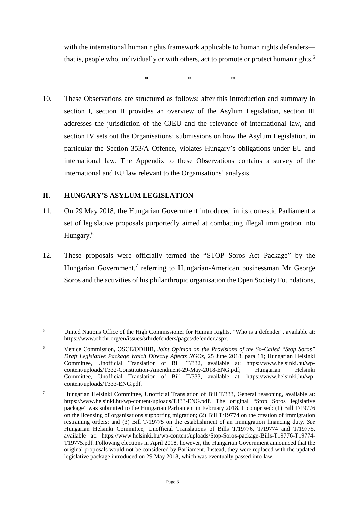with the international human rights framework applicable to human rights defenders— that is, people who, individually or with others, act to promote or protect human rights.<sup>[5](#page-4-1)</sup>

 $*$  \*  $*$  \*

10. These Observations are structured as follows: after this introduction and summary in section I, section II provides an overview of the Asylum Legislation, section III addresses the jurisdiction of the CJEU and the relevance of international law, and section IV sets out the Organisations' submissions on how the Asylum Legislation, in particular the Section 353/A Offence, violates Hungary's obligations under EU and international law. The Appendix to these Observations contains a survey of the international and EU law relevant to the Organisations' analysis.

### <span id="page-4-0"></span>**II. HUNGARY'S ASYLUM LEGISLATION**

- 11. On 29 May 2018, the Hungarian Government introduced in its domestic Parliament a set of legislative proposals purportedly aimed at combatting illegal immigration into Hungary.[6](#page-4-2)
- 12. These proposals were officially termed the "STOP Soros Act Package" by the Hungarian Government,<sup>[7](#page-4-3)</sup> referring to Hungarian-American businessman Mr George Soros and the activities of his philanthropic organisation the Open Society Foundations,

<span id="page-4-1"></span><sup>5</sup> United Nations Office of the High Commissioner for Human Rights, "Who is a defender", available at: https://www.ohchr.org/en/issues/srhrdefenders/pages/defender.aspx.

<span id="page-4-2"></span><sup>6</sup> Venice Commission, OSCE/ODHIR, *Joint Opinion on the Provisions of the So-Called "Stop Soros" Draft Legislative Package Which Directly Affects NGOs*, 25 June 2018, para 11; Hungarian Helsinki Committee, Unofficial Translation of Bill T/332, available at: https://www.helsinki.hu/wpcontent/uploads/T332-Constitution-Amendment-29-May-2018-ENG.pdf; Hungarian Helsinki Committee, Unofficial Translation of Bill T/333, available at: https://www.helsinki.hu/wpcontent/uploads/T333-ENG.pdf.

<span id="page-4-3"></span><sup>7</sup> Hungarian Helsinki Committee, Unofficial Translation of Bill T/333, General reasoning, available at: https://www.helsinki.hu/wp-content/uploads/T333-ENG.pdf. The original "Stop Soros legislative package" was submitted to the Hungarian Parliament in February 2018. It comprised: (1) Bill T/19776 on the licensing of organisations supporting migration; (2) Bill T/19774 on the creation of immigration restraining orders; and (3) Bill T/19775 on the establishment of an immigration financing duty. *See*  Hungarian Helsinki Committee, Unofficial Translations of Bills T/19776, T/19774 and T/19775, available at: https://www.helsinki.hu/wp-content/uploads/Stop-Soros-package-Bills-T19776-T19774- T19775.pdf. Following elections in April 2018, however, the Hungarian Government announced that the original proposals would not be considered by Parliament. Instead, they were replaced with the updated legislative package introduced on 29 May 2018, which was eventually passed into law.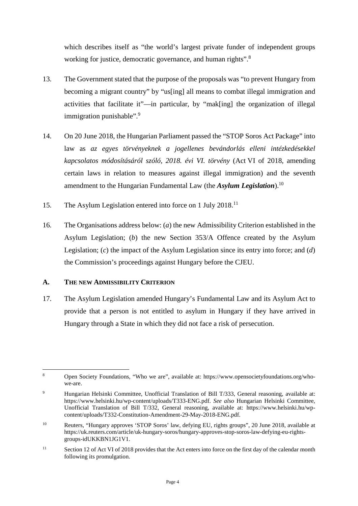which describes itself as "the world's largest private funder of independent groups working for justice, democratic governance, and human rights".<sup>[8](#page-5-1)</sup>

- 13. The Government stated that the purpose of the proposals was "to prevent Hungary from becoming a migrant country" by "us[ing] all means to combat illegal immigration and activities that facilitate it"—in particular, by "mak[ing] the organization of illegal immigration punishable".<sup>[9](#page-5-2)</sup>
- 14. On 20 June 2018, the Hungarian Parliament passed the "STOP Soros Act Package" into law as *az egyes törvényeknek a jogellenes bevándorlás elleni intézkedésekkel kapcsolatos módosításáról szóló, 2018. évi VI. törvény* (Act VI of 2018, amending certain laws in relation to measures against illegal immigration) and the seventh amendment to the Hungarian Fundamental Law (the *Asylum Legislation*).[10](#page-5-3)
- 15. The Asylum Legislation entered into force on 1 July 2018.<sup>[11](#page-5-4)</sup>
- 16. The Organisations address below: (*a*) the new Admissibility Criterion established in the Asylum Legislation; (*b*) the new Section 353/A Offence created by the Asylum Legislation; (*c*) the impact of the Asylum Legislation since its entry into force; and (*d*) the Commission's proceedings against Hungary before the CJEU.

### <span id="page-5-0"></span>**A. THE NEW ADMISSIBILITY CRITERION**

17. The Asylum Legislation amended Hungary's Fundamental Law and its Asylum Act to provide that a person is not entitled to asylum in Hungary if they have arrived in Hungary through a State in which they did not face a risk of persecution.

<span id="page-5-1"></span><sup>8</sup> Open Society Foundations, "Who we are", available at: https://www.opensocietyfoundations.org/whowe-are.

<span id="page-5-2"></span><sup>&</sup>lt;sup>9</sup> Hungarian Helsinki Committee, Unofficial Translation of Bill T/333, General reasoning, available at: https://www.helsinki.hu/wp-content/uploads/T333-ENG.pdf. *See also* Hungarian Helsinki Committee, Unofficial Translation of Bill T/332, General reasoning, available at: https://www.helsinki.hu/wpcontent/uploads/T332-Constitution-Amendment-29-May-2018-ENG.pdf.

<span id="page-5-3"></span><sup>10</sup> Reuters, "Hungary approves 'STOP Soros' law, defying EU, rights groups", 20 June 2018, available at https://uk.reuters.com/article/uk-hungary-soros/hungary-approves-stop-soros-law-defying-eu-rightsgroups-idUKKBN1JG1V1.

<span id="page-5-4"></span><sup>&</sup>lt;sup>11</sup> Section 12 of Act VI of 2018 provides that the Act enters into force on the first day of the calendar month following its promulgation.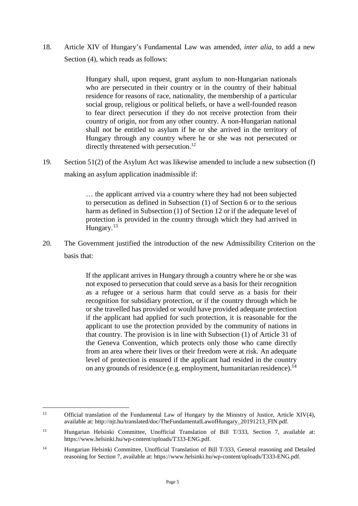18. Article XIV of Hungary's Fundamental Law was amended, *inter alia*, to add a new Section (4), which reads as follows:

> Hungary shall, upon request, grant asylum to non-Hungarian nationals who are persecuted in their country or in the country of their habitual residence for reasons of race, nationality, the membership of a particular social group, religious or political beliefs, or have a well-founded reason to fear direct persecution if they do not receive protection from their country of origin, nor from any other country. A non-Hungarian national shall not be entitled to asylum if he or she arrived in the territory of Hungary through any country where he or she was not persecuted or directly threatened with persecution.<sup>[12](#page-6-0)</sup>

19. Section 51(2) of the Asylum Act was likewise amended to include a new subsection (f) making an asylum application inadmissible if:

> … the applicant arrived via a country where they had not been subjected to persecution as defined in Subsection (1) of Section 6 or to the serious harm as defined in Subsection (1) of Section 12 or if the adequate level of protection is provided in the country through which they had arrived in Hungary.<sup>[13](#page-6-1)</sup>

20. The Government justified the introduction of the new Admissibility Criterion on the basis that:

> If the applicant arrives in Hungary through a country where he or she was not exposed to persecution that could serve as a basis for their recognition as a refugee or a serious harm that could serve as a basis for their recognition for subsidiary protection, or if the country through which he or she travelled has provided or would have provided adequate protection if the applicant had applied for such protection, it is reasonable for the applicant to use the protection provided by the community of nations in that country. The provision is in line with Subsection (1) of Article 31 of the Geneva Convention, which protects only those who came directly from an area where their lives or their freedom were at risk. An adequate level of protection is ensured if the applicant had resided in the country on any grounds of residence (e.g. employment, humanitarian residence).<sup>[14](#page-6-2)</sup>

<span id="page-6-0"></span><sup>&</sup>lt;sup>12</sup> Official translation of the Fundamental Law of Hungary by the Ministry of Justice, Article XIV(4), available at: http://njt.hu/translated/doc/TheFundamentalLawofHungary\_20191213\_FIN.pdf.

<span id="page-6-1"></span><sup>13</sup> Hungarian Helsinki Committee, Unofficial Translation of Bill T/333, Section 7, available at: https://www.helsinki.hu/wp-content/uploads/T333-ENG.pdf.

<span id="page-6-2"></span><sup>&</sup>lt;sup>14</sup> Hungarian Helsinki Committee, Unofficial Translation of Bill T/333, General reasoning and Detailed reasoning for Section 7, available at: https://www.helsinki.hu/wp-content/uploads/T333-ENG.pdf.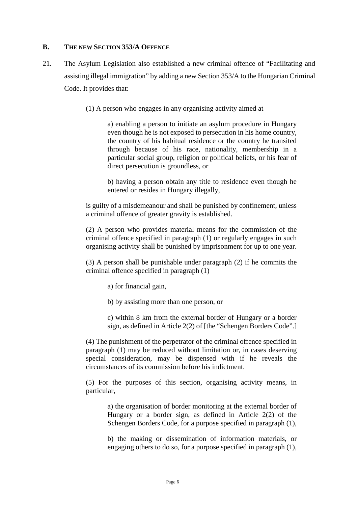#### <span id="page-7-0"></span>**B. THE NEW SECTION 353/A OFFENCE**

- <span id="page-7-1"></span>21. The Asylum Legislation also established a new criminal offence of "Facilitating and assisting illegal immigration" by adding a new Section 353/A to the Hungarian Criminal Code. It provides that:
	- (1) A person who engages in any organising activity aimed at

a) enabling a person to initiate an asylum procedure in Hungary even though he is not exposed to persecution in his home country, the country of his habitual residence or the country he transited through because of his race, nationality, membership in a particular social group, religion or political beliefs, or his fear of direct persecution is groundless, or

b) having a person obtain any title to residence even though he entered or resides in Hungary illegally,

is guilty of a misdemeanour and shall be punished by confinement, unless a criminal offence of greater gravity is established.

(2) A person who provides material means for the commission of the criminal offence specified in paragraph (1) or regularly engages in such organising activity shall be punished by imprisonment for up to one year.

(3) A person shall be punishable under paragraph (2) if he commits the criminal offence specified in paragraph (1)

- a) for financial gain,
- b) by assisting more than one person, or

c) within 8 km from the external border of Hungary or a border sign, as defined in Article 2(2) of [the "Schengen Borders Code".]

(4) The punishment of the perpetrator of the criminal offence specified in paragraph (1) may be reduced without limitation or, in cases deserving special consideration, may be dispensed with if he reveals the circumstances of its commission before his indictment.

(5) For the purposes of this section, organising activity means, in particular,

> a) the organisation of border monitoring at the external border of Hungary or a border sign, as defined in Article 2(2) of the Schengen Borders Code, for a purpose specified in paragraph (1),

> b) the making or dissemination of information materials, or engaging others to do so, for a purpose specified in paragraph (1),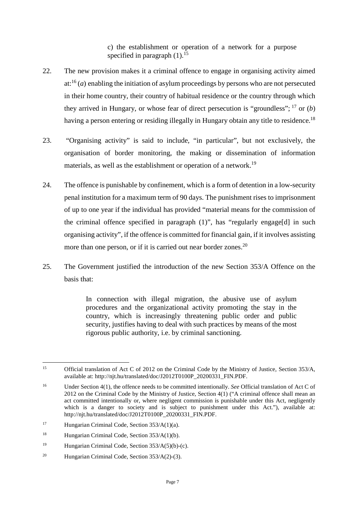c) the establishment or operation of a network for a purpose specified in paragraph  $(1)$ .<sup>[15](#page-8-0)</sup>

- 22. The new provision makes it a criminal offence to engage in organising activity aimed at:[16](#page-8-1) (*a*) enabling the initiation of asylum proceedings by persons who are not persecuted in their home country, their country of habitual residence or the country through which they arrived in Hungary, or whose fear of direct persecution is "groundless";  $^{17}$  $^{17}$  $^{17}$  or (*b*) having a person entering or residing illegally in Hungary obtain any title to residence.<sup>[18](#page-8-3)</sup>
- 23. "Organising activity" is said to include, "in particular", but not exclusively, the organisation of border monitoring, the making or dissemination of information materials, as well as the establishment or operation of a network.<sup>[19](#page-8-4)</sup>
- 24. The offence is punishable by confinement, which is a form of detention in a low-security penal institution for a maximum term of 90 days. The punishment rises to imprisonment of up to one year if the individual has provided "material means for the commission of the criminal offence specified in paragraph (1)", has "regularly engage[d] in such organising activity", if the offence is committed for financial gain, if it involves assisting more than one person, or if it is carried out near border zones.<sup>[20](#page-8-5)</sup>
- 25. The Government justified the introduction of the new Section 353/A Offence on the basis that:

In connection with illegal migration, the abusive use of asylum procedures and the organizational activity promoting the stay in the country, which is increasingly threatening public order and public security, justifies having to deal with such practices by means of the most rigorous public authority, i.e. by criminal sanctioning.

<span id="page-8-0"></span><sup>&</sup>lt;sup>15</sup> Official translation of Act C of 2012 on the Criminal Code by the Ministry of Justice, Section 353/A, available at: http://njt.hu/translated/doc/J2012T0100P\_20200331\_FIN.PDF.

<span id="page-8-1"></span><sup>16</sup> Under Section 4(1), the offence needs to be committed intentionally. *See* Official translation of Act C of 2012 on the Criminal Code by the Ministry of Justice, Section 4(1) ("A criminal offence shall mean an act committed intentionally or, where negligent commission is punishable under this Act, negligently which is a danger to society and is subject to punishment under this Act."), available at: http://njt.hu/translated/doc/J2012T0100P\_20200331\_FIN.PDF.

<span id="page-8-2"></span><sup>17</sup> Hungarian Criminal Code, Section 353/A(1)(a).

<span id="page-8-3"></span><sup>&</sup>lt;sup>18</sup> Hungarian Criminal Code, Section  $353/A(1)(b)$ .

<span id="page-8-4"></span><sup>&</sup>lt;sup>19</sup> Hungarian Criminal Code, Section  $353/A(5)(b)-(c)$ .

<span id="page-8-5"></span><sup>&</sup>lt;sup>20</sup> Hungarian Criminal Code, Section  $353/A(2)-(3)$ .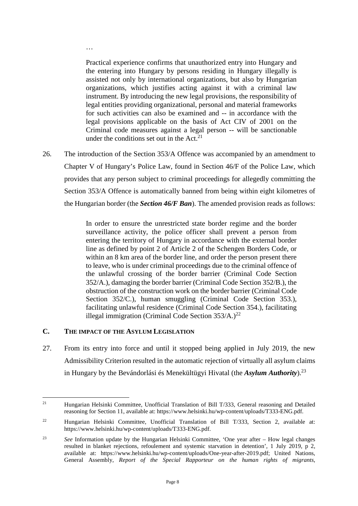Practical experience confirms that unauthorized entry into Hungary and the entering into Hungary by persons residing in Hungary illegally is assisted not only by international organizations, but also by Hungarian organizations, which justifies acting against it with a criminal law instrument. By introducing the new legal provisions, the responsibility of legal entities providing organizational, personal and material frameworks for such activities can also be examined and -- in accordance with the legal provisions applicable on the basis of Act CIV of 2001 on the Criminal code measures against a legal person -- will be sanctionable under the conditions set out in the  $Act.^{21}$  $Act.^{21}$  $Act.^{21}$ .

26. The introduction of the Section 353/A Offence was accompanied by an amendment to Chapter V of Hungary's Police Law, found in Section 46/F of the Police Law, which provides that any person subject to criminal proceedings for allegedly committing the Section 353/A Offence is automatically banned from being within eight kilometres of the Hungarian border (the *Section 46/F Ban*). The amended provision reads as follows:

> In order to ensure the unrestricted state border regime and the border surveillance activity, the police officer shall prevent a person from entering the territory of Hungary in accordance with the external border line as defined by point 2 of Article 2 of the Schengen Borders Code, or within an 8 km area of the border line, and order the person present there to leave, who is under criminal proceedings due to the criminal offence of the unlawful crossing of the border barrier (Criminal Code Section 352/A.), damaging the border barrier (Criminal Code Section 352/B.), the obstruction of the construction work on the border barrier (Criminal Code Section 352/C.), human smuggling (Criminal Code Section 353.), facilitating unlawful residence (Criminal Code Section 354.), facilitating illegal immigration (Criminal Code Section  $353/A$ .)<sup>[22](#page-9-2)</sup>

#### <span id="page-9-0"></span>**C. THE IMPACT OF THE ASYLUM LEGISLATION**

<span id="page-9-2"></span>…

27. From its entry into force and until it stopped being applied in July 2019, the new Admissibility Criterion resulted in the automatic rejection of virtually all asylum claims in Hungary by the Bevándorlási és Menekültügyi Hivatal (the *Asylum Authority*).[23](#page-9-3)

<span id="page-9-1"></span><sup>21</sup> Hungarian Helsinki Committee, Unofficial Translation of Bill T/333, General reasoning and Detailed reasoning for Section 11, available at: https://www.helsinki.hu/wp-content/uploads/T333-ENG.pdf.

<sup>&</sup>lt;sup>22</sup> Hungarian Helsinki Committee, Unofficial Translation of Bill T/333, Section 2, available at: https://www.helsinki.hu/wp-content/uploads/T333-ENG.pdf.

<span id="page-9-3"></span><sup>23</sup> *See* Information update by the Hungarian Helsinki Committee, 'One year after – How legal changes resulted in blanket rejections, refoulement and systemic starvation in detention', 1 July 2019, p 2, available at: https://www.helsinki.hu/wp-content/uploads/One-year-after-2019.pdf; United Nations, General Assembly, *Report of the Special Rapporteur on the human rights of migrants*,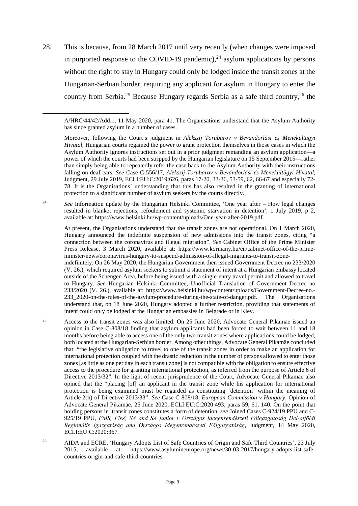28. This is because, from 28 March 2017 until very recently (when changes were imposed in purported response to the COVID-19 pandemic),  $^{24}$  $^{24}$  $^{24}$  asylum applications by persons without the right to stay in Hungary could only be lodged inside the transit zones at the Hungarian-Serbian border, requiring any applicant for asylum in Hungary to enter the country from Serbia.<sup>[25](#page-10-1)</sup> Because Hungary regards Serbia as a safe third country,<sup>[26](#page-10-2)</sup> the

<sup>24</sup> *See* Information update by the Hungarian Helsinki Committee, 'One year after – How legal changes resulted in blanket rejections, refoulement and systemic starvation in detention', 1 July 2019, p 2, available at: https://www.helsinki.hu/wp-content/uploads/One-year-after-2019.pdf.

At present, the Organisations understand that the transit zones are not operational. On 1 March 2020, Hungary announced the indefinite suspension of new admissions into the transit zones, citing "a connection between the coronavirus and illegal migration". *See* Cabinet Office of the Prime Minister Press Release, 3 March 2020, available at: https://www.kormany.hu/en/cabinet-office-of-the-primeminister/news/coronavirus-hungary-to-suspend-admission-of-illegal-migrants-to-transit-zone-

indefinitely. On 26 May 2020, the Hungarian Government then issued Government Decree no 233/2020 (V. 26.), which required asylum seekers to submit a statement of intent at a Hungarian embassy located outside of the Schengen Area, before being issued with a single-entry travel permit and allowed to travel to Hungary. *See* Hungarian Helsinki Committee, Unofficial Translation of Government Decree no 233/2020 (V. 26.), available at: https://www.helsinki.hu/wp-content/uploads/Government-Decree-no.- 233\_2020-on-the-rules-of-the-asylum-procedure-during-the-state-of-danger.pdf. The Organisations understand that, on 18 June 2020, Hungary adopted a further restriction, providing that statements of intent could only be lodged at the Hungarian embassies in Belgrade or in Kiev.

- <span id="page-10-1"></span><sup>25</sup> Access to the transit zones was also limited. On 25 June 2020, Advocate General Pikamäe issued an opinion in Case C-808/18 finding that asylum applicants had been forced to wait between 11 and 18 months before being able to access one of the only two transit zones where applications could be lodged, both located at the Hungarian-Serbian border. Among other things, Advocate General Pikamäe concluded that: "the legislative obligation to travel to one of the transit zones in order to make an application for international protection coupled with the drastic reduction in the number of persons allowed to enter those zones [as little as one per day in each transit zone] is not compatible with the obligation to ensure effective access to the procedure for granting international protection, as inferred from the purpose of Article 6 of Directive 2013/32". In the light of recent jurisprudence of the Court, Advocate General Pikamäe also opined that the "placing [of] an applicant in the transit zone while his application for international protection is being examined must be regarded as constituting 'detention' within the meaning of Article 2(h) of Directive 2013/33". *See* Case C-808/18, *European Commission v Hungary*, Opinion of Advocate General Pikamäe, 25 June 2020, ECLI:EU:C:2020:493, paras 59, 61, 140. On the point that holding persons in transit zones constitutes a form of detention, *see* Joined Cases C-924/19 PPU and C-925/19 PPU, *FMS, FNZ, SA and SA junior v Országos Idegenrendészeti Főigazgatóság Dél‑alföldi Regionális Igazgatóság and Országos Idegenrendészeti Főigazgatóság*, Judgment, 14 May 2020, ECLI:EU:C:2020:367.
- <span id="page-10-2"></span><sup>26</sup> AIDA and ECRE, 'Hungary Adopts List of Safe Countries of Origin and Safe Third Countries', 23 July 2015, available at: https://www.asylumineurope.org/news/30-03-2017/hungary-adopts-list-safecountries-origin-and-safe-third-countries.

<span id="page-10-0"></span>

A/HRC/44/42/Add.1, 11 May 2020, para 41. The Organisations understand that the Asylum Authority has since granted asylum in a number of cases.

Moreover, following the Court's judgment in *Alekszij Torubarov v Bevándorlási és Menekültügyi Hivatal*, Hungarian courts regained the power to grant protection themselves in those cases in which the Asylum Authority ignores instructions set out in a prior judgment remanding an asylum application—a power of which the courts had been stripped by the Hungarian legislature on 15 September 2015—rather than simply being able to repeatedly refer the case back to the Asylum Authority with their instructions falling on deaf ears. *See* Case C-556/17, *Alekszij Torubarov v Bevándorlási és Menekültügyi Hivatal*, Judgment, 29 July 2019, ECLI:EU:C:2019:626, paras 17-20, 33-36, 53-59, 62, 66-67 and especially 72- 78. It is the Organisations' understanding that this has also resulted in the granting of international protection to a significant number of asylum seekers by the courts directly.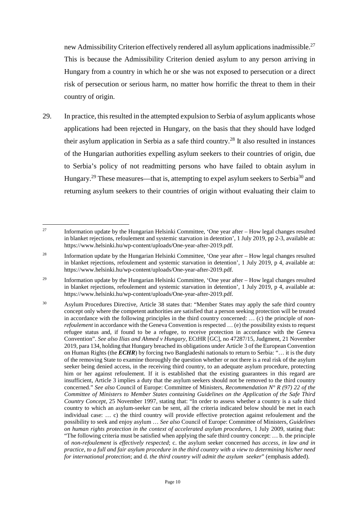new Admissibility Criterion effectively rendered all asylum applications inadmissible.[27](#page-11-0) This is because the Admissibility Criterion denied asylum to any person arriving in Hungary from a country in which he or she was not exposed to persecution or a direct risk of persecution or serious harm, no matter how horrific the threat to them in their country of origin.

29. In practice, this resulted in the attempted expulsion to Serbia of asylum applicants whose applications had been rejected in Hungary, on the basis that they should have lodged their asylum application in Serbia as a safe third country.<sup>[28](#page-11-1)</sup> It also resulted in instances of the Hungarian authorities expelling asylum seekers to their countries of origin, due to Serbia's policy of not readmitting persons who have failed to obtain asylum in Hungary.<sup>[29](#page-11-2)</sup> These measures—that is, attempting to expel asylum seekers to Serbia<sup>[30](#page-11-3)</sup> and returning asylum seekers to their countries of origin without evaluating their claim to

<span id="page-11-0"></span><sup>&</sup>lt;sup>27</sup> Information update by the Hungarian Helsinki Committee, 'One year after – How legal changes resulted in blanket rejections, refoulement and systemic starvation in detention', 1 July 2019, pp 2-3, available at: https://www.helsinki.hu/wp-content/uploads/One-year-after-2019.pdf.

<span id="page-11-1"></span><sup>28</sup> Information update by the Hungarian Helsinki Committee, 'One year after – How legal changes resulted in blanket rejections, refoulement and systemic starvation in detention', 1 July 2019, p 4, available at: https://www.helsinki.hu/wp-content/uploads/One-year-after-2019.pdf.

<span id="page-11-2"></span><sup>29</sup> Information update by the Hungarian Helsinki Committee, 'One year after – How legal changes resulted in blanket rejections, refoulement and systemic starvation in detention', 1 July 2019, p 4, available at: https://www.helsinki.hu/wp-content/uploads/One-year-after-2019.pdf.

<span id="page-11-3"></span><sup>30</sup> Asylum Procedures Directive, Article 38 states that: "Member States may apply the safe third country concept only where the competent authorities are satisfied that a person seeking protection will be treated in accordance with the following principles in the third country concerned: … (c) the principle of *nonrefoulement* in accordance with the Geneva Convention is respected ... (e) the possibility exists to request refugee status and, if found to be a refugee, to receive protection in accordance with the Geneva Convention". *See also Ilias and Ahmed v Hungary*, ECtHR [GC], no 47287/15, Judgment, 21 November 2019, para 134, holding that Hungary breached its obligations under Article 3 of the European Convention on Human Rights (the *ECHR*) by forcing two Bangladeshi nationals to return to Serbia: "… it is the duty of the removing State to examine thoroughly the question whether or not there is a real risk of the asylum seeker being denied access, in the receiving third country, to an adequate asylum procedure, protecting him or her against refoulement. If it is established that the existing guarantees in this regard are insufficient, Article 3 implies a duty that the asylum seekers should not be removed to the third country concerned." *See also* Council of Europe: Committee of Ministers, *Recommendation N° R (97) 22 of the Committee of Ministers to Member States containing Guidelines on the Application of the Safe Third Country Concept*, 25 November 1997, stating that: "In order to assess whether a country is a safe third country to which an asylum-seeker can be sent, all the criteria indicated below should be met in each individual case: … c) the third country will provide effective protection against refoulement and the possibility to seek and enjoy asylum … *See also* Council of Europe: Committee of Ministers, *Guidelines on human rights protection in the context of accelerated asylum procedures*, 1 July 2009, stating that: "The following criteria must be satisfied when applying the safe third country concept: … b. the principle of *non-refoulement* is *effectively respected*; c. the asylum seeker concerned *has access*, *in law and in practice, to a full and fair asylum procedure in the third country with a view to determining his/her need for international protection*; and d. *the third country will admit the asylum seeker*" (emphasis added).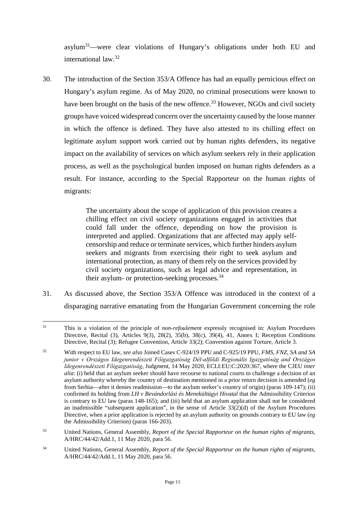asylum[31](#page-12-0)—were clear violations of Hungary's obligations under both EU and international law.[32](#page-12-1)

30. The introduction of the Section 353/A Offence has had an equally pernicious effect on Hungary's asylum regime. As of May 2020, no criminal prosecutions were known to have been brought on the basis of the new offence.<sup>[33](#page-12-2)</sup> However, NGOs and civil society groups have voiced widespread concern over the uncertainty caused by the loose manner in which the offence is defined. They have also attested to its chilling effect on legitimate asylum support work carried out by human rights defenders, its negative impact on the availability of services on which asylum seekers rely in their application process, as well as the psychological burden imposed on human rights defenders as a result. For instance, according to the Special Rapporteur on the human rights of migrants:

> The uncertainty about the scope of application of this provision creates a chilling effect on civil society organizations engaged in activities that could fall under the offence, depending on how the provision is interpreted and applied. Organizations that are affected may apply selfcensorship and reduce or terminate services, which further hinders asylum seekers and migrants from exercising their right to seek asylum and international protection, as many of them rely on the services provided by civil society organizations, such as legal advice and representation, in their asylum- or protection-seeking processes.<sup>[34](#page-12-3)</sup>

31. As discussed above, the Section 353/A Offence was introduced in the context of a disparaging narrative emanating from the Hungarian Government concerning the role

<span id="page-12-0"></span><sup>31</sup> This is a violation of the principle of *non-refoulement* expressly recognised in: Asylum Procedures Directive, Recital (3), Articles 9(3), 28(2), 35(b), 38(c), 39(4), 41, Annex I; Reception Conditions Directive, Recital (3); Refugee Convention, Article 33(2); Convention against Torture, Article 3.

<span id="page-12-1"></span><sup>32</sup> With respect to EU law, *see also* Joined Cases C-924/19 PPU and C-925/19 PPU, *FMS, FNZ, SA and SA junior v Országos Idegenrendészeti Főigazgatóság Dél‑alföldi Regionális Igazgatóság and Országos Idegenrendészeti Főigazgatóság*, Judgment, 14 May 2020, ECLI:EU:C:2020:367, where the CJEU *inter alia*: (i) held that an asylum seeker should have recourse to national courts to challenge a decision of an asylum authority whereby the country of destination mentioned in a prior return decision is amended (*eg*  from Serbia—after it denies readmission—to the asylum seeker's country of origin) (paras 109-147); (ii) confirmed its holding from *LH v Bevándorlási és Menekültügyi Hivatal* that the Admissibility Criterion is contrary to EU law (paras 148-165); and (iii) held that an asylum application shall not be considered an inadmissible "subsequent application", in the sense of Article  $33(2)(d)$  of the Asylum Procedures Directive, when a prior application is rejected by an asylum authority on grounds contrary to EU law (*eg*  the Admissibility Criterion) (paras 166-203).

<span id="page-12-2"></span><sup>33</sup> United Nations, General Assembly, *Report of the Special Rapporteur on the human rights of migrants*, A/HRC/44/42/Add.1, 11 May 2020, para 56.

<span id="page-12-3"></span><sup>34</sup> United Nations, General Assembly, *Report of the Special Rapporteur on the human rights of migrants*, A/HRC/44/42/Add.1, 11 May 2020, para 56.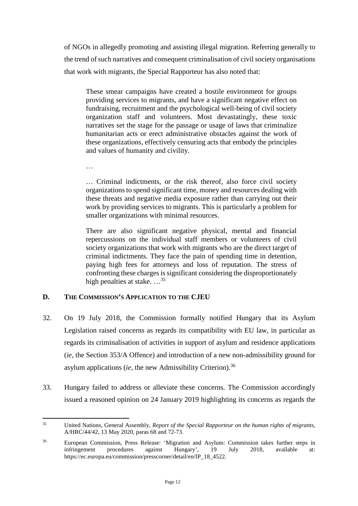of NGOs in allegedly promoting and assisting illegal migration. Referring generally to the trend of such narratives and consequent criminalisation of civil society organisations that work with migrants, the Special Rapporteur has also noted that:

These smear campaigns have created a hostile environment for groups providing services to migrants, and have a significant negative effect on fundraising, recruitment and the psychological well-being of civil society organization staff and volunteers. Most devastatingly, these toxic narratives set the stage for the passage or usage of laws that criminalize humanitarian acts or erect administrative obstacles against the work of these organizations, effectively censuring acts that embody the principles and values of humanity and civility.

…

… Criminal indictments, or the risk thereof, also force civil society organizations to spend significant time, money and resources dealing with these threats and negative media exposure rather than carrying out their work by providing services to migrants. This is particularly a problem for smaller organizations with minimal resources.

There are also significant negative physical, mental and financial repercussions on the individual staff members or volunteers of civil society organizations that work with migrants who are the direct target of criminal indictments. They face the pain of spending time in detention, paying high fees for attorneys and loss of reputation. The stress of confronting these charges is significant considering the disproportionately high penalties at stake.  $\ldots$ <sup>[35](#page-13-1)</sup>

### <span id="page-13-0"></span>**D. THE COMMISSION'S APPLICATION TO THE CJEU**

- 32. On 19 July 2018, the Commission formally notified Hungary that its Asylum Legislation raised concerns as regards its compatibility with EU law, in particular as regards its criminalisation of activities in support of asylum and residence applications (*ie*, the Section 353/A Offence) and introduction of a new non-admissibility ground for asylum applications *(ie, the new Admissibility Criterion)*.<sup>[36](#page-13-2)</sup>
- 33. Hungary failed to address or alleviate these concerns. The Commission accordingly issued a reasoned opinion on 24 January 2019 highlighting its concerns as regards the

<span id="page-13-1"></span><sup>35</sup> United Nations, General Assembly, *Report of the Special Rapporteur on the human rights of migrants*, A/HRC/44/42, 13 May 2020, paras 68 and 72-73.

<span id="page-13-2"></span><sup>36</sup> European Commission, Press Release: 'Migration and Asylum: Commission takes further steps in infringement procedures against Hungary', 19 July 2018, available at: https://ec.europa.eu/commission/presscorner/detail/en/IP\_18\_4522.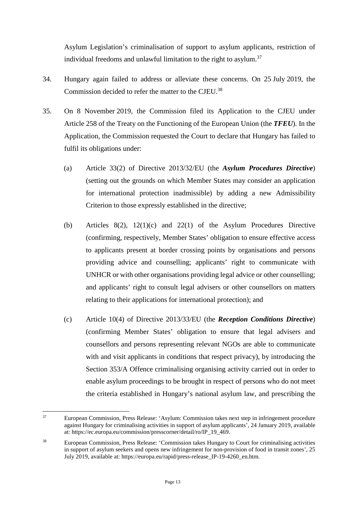Asylum Legislation's criminalisation of support to asylum applicants, restriction of individual freedoms and unlawful limitation to the right to asylum.<sup>[37](#page-14-0)</sup>

- 34. Hungary again failed to address or alleviate these concerns. On 25 July 2019, the Commission decided to refer the matter to the CJEU.[38](#page-14-1)
- 35. On 8 November 2019, the Commission filed its Application to the CJEU under Article 258 of the Treaty on the Functioning of the European Union (the *TFEU*). In the Application, the Commission requested the Court to declare that Hungary has failed to fulfil its obligations under:
	- (a) Article 33(2) of Directive 2013/32/EU (the *Asylum Procedures Directive*) (setting out the grounds on which Member States may consider an application for international protection inadmissible) by adding a new Admissibility Criterion to those expressly established in the directive;
	- (b) Articles 8(2), 12(1)(c) and 22(1) of the Asylum Procedures Directive (confirming, respectively, Member States' obligation to ensure effective access to applicants present at border crossing points by organisations and persons providing advice and counselling; applicants' right to communicate with UNHCR or with other organisations providing legal advice or other counselling; and applicants' right to consult legal advisers or other counsellors on matters relating to their applications for international protection); and
	- (c) Article 10(4) of Directive 2013/33/EU (the *Reception Conditions Directive*) (confirming Member States' obligation to ensure that legal advisers and counsellors and persons representing relevant NGOs are able to communicate with and visit applicants in conditions that respect privacy), by introducing the Section 353/A Offence criminalising organising activity carried out in order to enable asylum proceedings to be brought in respect of persons who do not meet the criteria established in Hungary's national asylum law, and prescribing the

<span id="page-14-0"></span><sup>37</sup> European Commission, Press Release: 'Asylum: Commission takes next step in infringement procedure against Hungary for criminalising activities in support of asylum applicants', 24 January 2019, available at: https://ec.europa.eu/commission/presscorner/detail/ro/IP\_19\_469.

<span id="page-14-1"></span><sup>38</sup> European Commission, Press Release: 'Commission takes Hungary to Court for criminalising activities in support of asylum seekers and opens new infringement for non-provision of food in transit zones', 25 July 2019, available at: https://europa.eu/rapid/press-release\_IP-19-4260\_en.htm.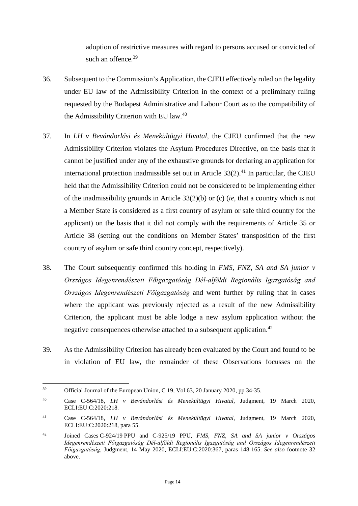adoption of restrictive measures with regard to persons accused or convicted of such an offence. $39$ 

- 36. Subsequent to the Commission's Application, the CJEU effectively ruled on the legality under EU law of the Admissibility Criterion in the context of a preliminary ruling requested by the Budapest Administrative and Labour Court as to the compatibility of the Admissibility Criterion with EU law.[40](#page-15-1)
- 37. In *LH v Bevándorlási és Menekültügyi Hivatal*, the CJEU confirmed that the new Admissibility Criterion violates the Asylum Procedures Directive, on the basis that it cannot be justified under any of the exhaustive grounds for declaring an application for international protection inadmissible set out in Article  $33(2)$ .<sup>[41](#page-15-2)</sup> In particular, the CJEU held that the Admissibility Criterion could not be considered to be implementing either of the inadmissibility grounds in Article 33(2)(b) or (c) (*ie*, that a country which is not a Member State is considered as a first country of asylum or safe third country for the applicant) on the basis that it did not comply with the requirements of Article 35 or Article 38 (setting out the conditions on Member States' transposition of the first country of asylum or safe third country concept, respectively).
- 38. The Court subsequently confirmed this holding in *FMS, FNZ, SA and SA junior v Országos Idegenrendészeti Főigazgatóság Dél‑alföldi Regionális Igazgatóság and Országos Idegenrendészeti Főigazgatóság* and went further by ruling that in cases where the applicant was previously rejected as a result of the new Admissibility Criterion, the applicant must be able lodge a new asylum application without the negative consequences otherwise attached to a subsequent application.<sup>[42](#page-15-3)</sup>
- 39. As the Admissibility Criterion has already been evaluated by the Court and found to be in violation of EU law, the remainder of these Observations focusses on the

<span id="page-15-0"></span><sup>&</sup>lt;sup>39</sup> Official Journal of the European Union, C 19, Vol 63, 20 January 2020, pp 34-35.

<span id="page-15-1"></span><sup>40</sup> Case C-564/18, *LH v Bevándorlási és Menekültügyi Hivatal*, Judgment, 19 March 2020, ECLI:EU:C:2020:218.

<span id="page-15-2"></span><sup>41</sup> Case C-564/18, *LH v Bevándorlási és Menekültügyi Hivatal*, Judgment, 19 March 2020, ECLI:EU:C:2020:218, para 55.

<span id="page-15-3"></span><sup>42</sup> Joined Cases C-924/19 PPU and C-925/19 PPU, *FMS, FNZ, SA and SA junior v Országos Idegenrendészeti Főigazgatóság Dél‑alföldi Regionális Igazgatóság and Országos Idegenrendészeti Főigazgatóság*, Judgment, 14 May 2020, ECLI:EU:C:2020:367, paras 148-165. *See also* footnote 32 above.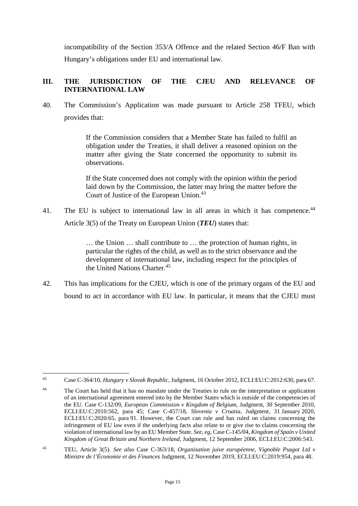incompatibility of the Section 353/A Offence and the related Section 46/F Ban with Hungary's obligations under EU and international law.

## <span id="page-16-0"></span>**III. THE JURISDICTION OF THE CJEU AND RELEVANCE OF INTERNATIONAL LAW**

40. The Commission's Application was made pursuant to Article 258 TFEU, which provides that:

> If the Commission considers that a Member State has failed to fulfil an obligation under the Treaties, it shall deliver a reasoned opinion on the matter after giving the State concerned the opportunity to submit its observations.

> If the State concerned does not comply with the opinion within the period laid down by the Commission, the latter may bring the matter before the Court of Justice of the European Union.<sup>[43](#page-16-1)</sup>

41. The EU is subject to international law in all areas in which it has competence.<sup>[44](#page-16-2)</sup> Article 3(5) of the Treaty on European Union (*TEU*) states that:

> … the Union … shall contribute to … the protection of human rights, in particular the rights of the child, as well as to the strict observance and the development of international law, including respect for the principles of the United Nations Charter.<sup>[45](#page-16-3)</sup>

42. This has implications for the CJEU, which is one of the primary organs of the EU and bound to act in accordance with EU law. In particular, it means that the CJEU must

<span id="page-16-1"></span><sup>43</sup> Case C-364/10, *Hungary v Slovak Republic*, Judgment, 16 October 2012, ECLI:EU:C:2012:630, para 67.

<span id="page-16-2"></span><sup>&</sup>lt;sup>44</sup> The Court has held that it has no mandate under the Treaties to rule on the interpretation or application of an international agreement entered into by the Member States which is outside of the competencies of the EU. Case C-132/09, *European Commission v Kingdom of Belgium*, Judgment, 30 September 2010, ECLI:EU:C:2010:562, para 45; Case C-457/18, *Slovenia v Croatia*, Judgment, 31 January 2020, ECLI:EU:C:2020:65, para 91. However, the Court can rule and has ruled on claims concerning the infringement of EU law even if the underlying facts also relate to or give rise to claims concerning the violation of international law by an EU Member State. *See*, *eg*, Case C-145/04, *Kingdom of Spain v United Kingdom of Great Britain and Northern Ireland*, Judgment, 12 September 2006, ECLI:EU:C:2006:543.

<span id="page-16-3"></span><sup>45</sup> TEU, Article 3(5). *See also* Case C-363/18, *Organisation juive européenne, Vignoble Psagot Ltd v Ministre de l'Économie et des Finances* Judgment, 12 November 2019, ECLI:EU:C:2019:954, para 48.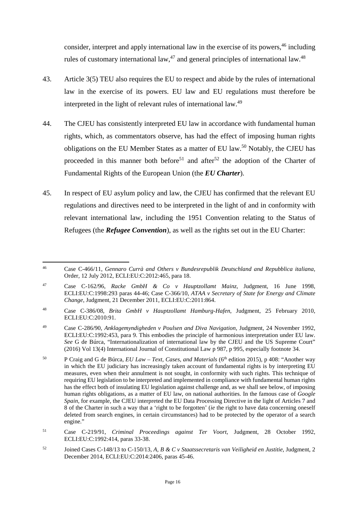consider, interpret and apply international law in the exercise of its powers,  $46$  including rules of customary international law,  $47$  and general principles of international law.  $48$ 

- 43. Article 3(5) TEU also requires the EU to respect and abide by the rules of international law in the exercise of its powers. EU law and EU regulations must therefore be interpreted in the light of relevant rules of international law.[49](#page-17-3)
- 44. The CJEU has consistently interpreted EU law in accordance with fundamental human rights, which, as commentators observe, has had the effect of imposing human rights obligations on the EU Member States as a matter of EU law.<sup>[50](#page-17-4)</sup> Notably, the CJEU has proceeded in this manner both before<sup>[51](#page-17-5)</sup> and after<sup>[52](#page-17-6)</sup> the adoption of the Charter of Fundamental Rights of the European Union (the *EU Charter*).
- 45. In respect of EU asylum policy and law, the CJEU has confirmed that the relevant EU regulations and directives need to be interpreted in the light of and in conformity with relevant international law, including the 1951 Convention relating to the Status of Refugees (the *Refugee Convention*), as well as the rights set out in the EU Charter:

<span id="page-17-0"></span><sup>46</sup> Case C-466/11, *Gennaro Currà and Others v Bundesrepublik Deutschland and Repubblica italiana*, Order, 12 July 2012, ECLI:EU:C:2012:465, para 18.

<span id="page-17-1"></span><sup>47</sup> Case C-162/96, *Racke GmbH & Co v Hauptzollamt Mainz*, Judgment, 16 June 1998, ECLI:EU:C:1998:293 paras 44-46; Case C-366/10, *ATAA v Secretary of State for Energy and Climate Change*, Judgment, 21 December 2011, ECLI:EU:C:2011:864.

<span id="page-17-2"></span><sup>48</sup> Case C-386/08, *Brita GmbH v Hauptzollamt Hamburg-Hafen*, Judgment, 25 February 2010, ECLI:EU:C:2010:91.

<span id="page-17-3"></span><sup>49</sup> Case C-286/90, *Anklagemyndigheden v Poulsen and Diva Navigation*, Judgment, 24 November 1992, ECLI:EU:C:1992:453, para 9. This embodies the principle of harmonious interpretation under EU law. *See* G de Búrca, "Internationalization of international law by the CJEU and the US Supreme Court" (2016) Vol 13(4) International Journal of Constitutional Law p 987, p 995, especially footnote 34.

<span id="page-17-4"></span><sup>50</sup> P Craig and G de Búrca, *EU Law – Text, Cases, and Materials* (6th edition 2015), p 408: "Another way in which the EU judiciary has increasingly taken account of fundamental rights is by interpreting EU measures, even when their annulment is not sought, in conformity with such rights. This technique of requiring EU legislation to be interpreted and implemented in compliance with fundamental human rights has the effect both of insulating EU legislation against challenge and, as we shall see below, of imposing human rights obligations, as a matter of EU law, on national authorities. In the famous case of *Google Spain*, for example, the CJEU interpreted the EU Data Processing Directive in the light of Articles 7 and 8 of the Charter in such a way that a 'right to be forgotten' (*ie* the right to have data concerning oneself deleted from search engines, in certain circumstances) had to be protected by the operator of a search engine."

<span id="page-17-5"></span><sup>51</sup> Case C-219/91, *Criminal Proceedings against Ter Voort*, Judgment, 28 October 1992, ECLI:EU:C:1992:414, paras 33-38.

<span id="page-17-6"></span><sup>52</sup> Joined Cases C-148/13 to C-150/13, *A, B & C v Staatssecretaris van Veiligheid en Justitie*, Judgment, 2 December 2014, ECLI:EU:C:2014:2406, paras 45-46.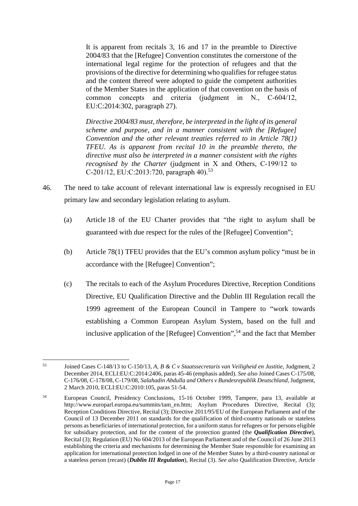It is apparent from recitals 3, 16 and 17 in the preamble to Directive 2004/83 that the [Refugee] Convention constitutes the cornerstone of the international legal regime for the protection of refugees and that the provisions of the directive for determining who qualifies for refugee status and the content thereof were adopted to guide the competent authorities of the Member States in the application of that convention on the basis of common concepts and criteria (judgment in N., C-604/12, EU:C:2014:302, paragraph 27).

*Directive 2004/83 must, therefore, be interpreted in the light of its general scheme and purpose, and in a manner consistent with the [Refugee] Convention and the other relevant treaties referred to in Article 78(1) TFEU*. *As is apparent from recital 10 in the preamble thereto, the directive must also be interpreted in a manner consistent with the rights recognised by the Charter* (judgment in X and Others, C-199/12 to C-201/12, EU:C:2013:720, paragraph 40).<sup>[53](#page-18-0)</sup>

- 46. The need to take account of relevant international law is expressly recognised in EU primary law and secondary legislation relating to asylum.
	- (a) Article 18 of the EU Charter provides that "the right to asylum shall be guaranteed with due respect for the rules of the [Refugee] Convention";
	- (b) Article 78(1) TFEU provides that the EU's common asylum policy "must be in accordance with the [Refugee] Convention";
	- (c) The recitals to each of the Asylum Procedures Directive, Reception Conditions Directive, EU Qualification Directive and the Dublin III Regulation recall the 1999 agreement of the European Council in Tampere to "work towards establishing a Common European Asylum System, based on the full and inclusive application of the [Refugee] Convention",<sup>[54](#page-18-1)</sup> and the fact that Member

<span id="page-18-0"></span><sup>53</sup> Joined Cases C-148/13 to C-150/13, *A, B & C v Staatssecretaris van Veiligheid en Justitie*, Judgment, 2 December 2014, ECLI:EU:C:2014:2406, paras 45-46 (emphasis added). *See also* Joined Cases C-175/08, C-176/08, C-178/08, C-179/08, *Salahadin Abdulla and Others v Bundesrepublik Deutschland*, Judgment, 2 March 2010, ECLI:EU:C:2010:105, paras 51-54.

<span id="page-18-1"></span><sup>54</sup> European Council, Presidency Conclusions, 15-16 October 1999, Tampere, para 13, available at http://www.europarl.europa.eu/summits/tam\_en.htm; Asylum Procedures Directive, Recital (3); Reception Conditions Directive, Recital (3); Directive 2011/95/EU of the European Parliament and of the Council of 13 December 2011 on standards for the qualification of third-country nationals or stateless persons as beneficiaries of international protection, for a uniform status for refugees or for persons eligible for subsidiary protection, and for the content of the protection granted (the *Qualification Directive*), Recital (3); Regulation (EU) No 604/2013 of the European Parliament and of the Council of 26 June 2013 establishing the criteria and mechanisms for determining the Member State responsible for examining an application for international protection lodged in one of the Member States by a third-country national or a stateless person (recast) (*Dublin III Regulation*), Recital (3). *See also* Qualification Directive, Article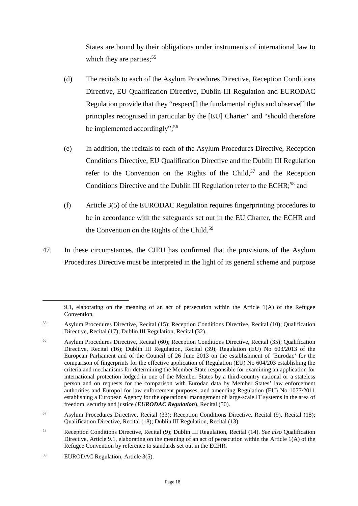States are bound by their obligations under instruments of international law to which they are parties;  $55$ 

- (d) The recitals to each of the Asylum Procedures Directive, Reception Conditions Directive, EU Qualification Directive, Dublin III Regulation and EURODAC Regulation provide that they "respect[] the fundamental rights and observe[] the principles recognised in particular by the [EU] Charter" and "should therefore be implemented accordingly";<sup>[56](#page-19-1)</sup>
- (e) In addition, the recitals to each of the Asylum Procedures Directive, Reception Conditions Directive, EU Qualification Directive and the Dublin III Regulation refer to the Convention on the Rights of the Child,<sup>[57](#page-19-2)</sup> and the Reception Conditions Directive and the Dublin III Regulation refer to the ECHR;<sup>[58](#page-19-3)</sup> and
- (f) Article 3(5) of the EURODAC Regulation requires fingerprinting procedures to be in accordance with the safeguards set out in the EU Charter, the ECHR and the Convention on the Rights of the Child.<sup>[59](#page-19-4)</sup>
- 47. In these circumstances, the CJEU has confirmed that the provisions of the Asylum Procedures Directive must be interpreted in the light of its general scheme and purpose

<sup>9.1,</sup> elaborating on the meaning of an act of persecution within the Article 1(A) of the Refugee Convention.

<span id="page-19-0"></span><sup>55</sup> Asylum Procedures Directive, Recital (15); Reception Conditions Directive, Recital (10); Qualification Directive, Recital (17); Dublin III Regulation, Recital (32).

<span id="page-19-1"></span><sup>56</sup> Asylum Procedures Directive, Recital (60); Reception Conditions Directive, Recital (35); Qualification Directive, Recital (16); Dublin III Regulation, Recital (39); Regulation (EU) No 603/2013 of the European Parliament and of the Council of 26 June 2013 on the establishment of 'Eurodac' for the comparison of fingerprints for the effective application of Regulation (EU) No 604/203 establishing the criteria and mechanisms for determining the Member State responsible for examining an application for international protection lodged in one of the Member States by a third-country national or a stateless person and on requests for the comparison with Eurodac data by Member States' law enforcement authorities and Europol for law enforcement purposes, and amending Regulation (EU) No 1077/2011 establishing a European Agency for the operational management of large-scale IT systems in the area of freedom, security and justice (*EURODAC Regulation*), Recital (50).

<span id="page-19-2"></span><sup>57</sup> Asylum Procedures Directive, Recital (33); Reception Conditions Directive, Recital (9), Recital (18); Qualification Directive, Recital (18); Dublin III Regulation, Recital (13).

<span id="page-19-3"></span><sup>58</sup> Reception Conditions Directive, Recital (9); Dublin III Regulation, Recital (14). *See also* Qualification Directive, Article 9.1, elaborating on the meaning of an act of persecution within the Article 1(A) of the Refugee Convention by reference to standards set out in the ECHR.

<span id="page-19-4"></span><sup>59</sup> EURODAC Regulation, Article 3(5).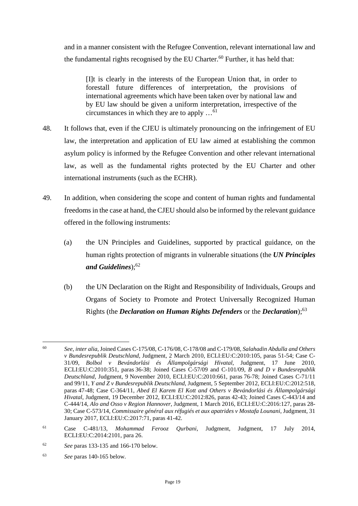and in a manner consistent with the Refugee Convention, relevant international law and the fundamental rights recognised by the EU Charter.<sup>[60](#page-20-0)</sup> Further, it has held that:

[I]t is clearly in the interests of the European Union that, in order to forestall future differences of interpretation, the provisions of international agreements which have been taken over by national law and by EU law should be given a uniform interpretation, irrespective of the circumstances in which they are to apply ...<sup>[61](#page-20-1)</sup>

- 48. It follows that, even if the CJEU is ultimately pronouncing on the infringement of EU law, the interpretation and application of EU law aimed at establishing the common asylum policy is informed by the Refugee Convention and other relevant international law, as well as the fundamental rights protected by the EU Charter and other international instruments (such as the ECHR).
- 49. In addition, when considering the scope and content of human rights and fundamental freedoms in the case at hand, the CJEU should also be informed by the relevant guidance offered in the following instruments:
	- (a) the UN Principles and Guidelines, supported by practical guidance, on the human rights protection of migrants in vulnerable situations (the *UN Principles and Guidelines*);[62](#page-20-2)
	- (b) the UN Declaration on the Right and Responsibility of Individuals, Groups and Organs of Society to Promote and Protect Universally Recognized Human Rights (the *Declaration on Human Rights Defenders* or the *Declaration*);[63](#page-20-3)

<span id="page-20-3"></span><sup>63</sup> *See* paras 140-165 below.

<span id="page-20-0"></span><sup>60</sup> *See*, *inter alia*, Joined Cases C-175/08, C-176/08, C-178/08 and C-179/08, *Salahadin Abdulla and Others v Bundesrepublik Deutschland*, Judgment, 2 March 2010, ECLI:EU:C:2010:105, paras 51-54; Case C-31/09, *Bolbol v Bevándorlási és Állampolgársági Hivatal*, Judgment, 17 June 2010, ECLI:EU:C:2010:351, paras 36-38; Joined Cases C-57/09 and C-101/09, *B and D v Bundesrepublik Deutschland*, Judgment, 9 November 2010, ECLI:EU:C:2010:661, paras 76-78; Joined Cases C-71/11 and 99/11, *Y and Z v Bundesrepublik Deutschland*, Judgment, 5 September 2012, ECLI:EU:C:2012:518, paras 47-48; Case C-364/11, *Abed El Karem El Kott and Others v Bevándorlási és Állampolgársági Hivatal*, Judgment, 19 December 2012, ECLI:EU:C:2012:826, paras 42-43; Joined Cases C-443/14 and C-444/14, *Alo and Osso v Region Hannover*, Judgment, 1 March 2016, ECLI:EU:C:2016:127, paras 28- 30; Case C-573/14, *Commissaire général aux réfugiés et aux apatrides v Mostafa Lounani*, Judgment, 31 January 2017, ECLI:EU:C:2017:71, paras 41-42.

<span id="page-20-1"></span><sup>61</sup> Case C-481/13, *Mohammad Ferooz Qurbani*, Judgment, Judgment, 17 July 2014, ECLI:EU:C:2014:2101, para 26.

<span id="page-20-2"></span><sup>62</sup> *See* paras 133-135 and 166-170 below.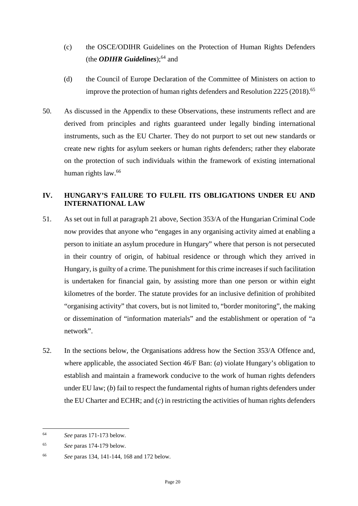- (c) the OSCE/ODIHR Guidelines on the Protection of Human Rights Defenders (the *ODIHR Guidelines*);<sup>[64](#page-21-1)</sup> and
- (d) the Council of Europe Declaration of the Committee of Ministers on action to improve the protection of human rights defenders and Resolution 2225 (2018).<sup>[65](#page-21-2)</sup>
- 50. As discussed in the Appendix to these Observations, these instruments reflect and are derived from principles and rights guaranteed under legally binding international instruments, such as the EU Charter. They do not purport to set out new standards or create new rights for asylum seekers or human rights defenders; rather they elaborate on the protection of such individuals within the framework of existing international human rights law.<sup>[66](#page-21-3)</sup>

### <span id="page-21-0"></span>**IV. HUNGARY'S FAILURE TO FULFIL ITS OBLIGATIONS UNDER EU AND INTERNATIONAL LAW**

- 51. As set out in full at paragraph [21](#page-7-1) above, Section 353/A of the Hungarian Criminal Code now provides that anyone who "engages in any organising activity aimed at enabling a person to initiate an asylum procedure in Hungary" where that person is not persecuted in their country of origin, of habitual residence or through which they arrived in Hungary, is guilty of a crime. The punishment for this crime increases if such facilitation is undertaken for financial gain, by assisting more than one person or within eight kilometres of the border. The statute provides for an inclusive definition of prohibited "organising activity" that covers, but is not limited to, "border monitoring", the making or dissemination of "information materials" and the establishment or operation of "a network".
- 52. In the sections below, the Organisations address how the Section 353/A Offence and, where applicable, the associated Section 46/F Ban: (*a*) violate Hungary's obligation to establish and maintain a framework conducive to the work of human rights defenders under EU law; (*b*) fail to respect the fundamental rights of human rights defenders under the EU Charter and ECHR; and (*c*) in restricting the activities of human rights defenders

<span id="page-21-1"></span><sup>64</sup> *See* paras 171-173 below.

<span id="page-21-2"></span><sup>65</sup> *See* paras 174-179 below.

<span id="page-21-3"></span><sup>66</sup> *See* paras 134, 141-144, 168 and 172 below.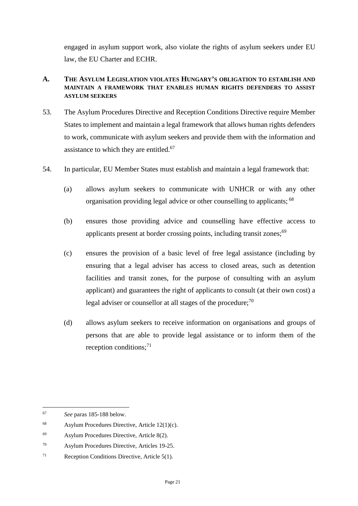engaged in asylum support work, also violate the rights of asylum seekers under EU law, the EU Charter and ECHR.

### <span id="page-22-0"></span>**A. THE ASYLUM LEGISLATION VIOLATES HUNGARY'S OBLIGATION TO ESTABLISH AND MAINTAIN A FRAMEWORK THAT ENABLES HUMAN RIGHTS DEFENDERS TO ASSIST ASYLUM SEEKERS**

- 53. The Asylum Procedures Directive and Reception Conditions Directive require Member States to implement and maintain a legal framework that allows human rights defenders to work, communicate with asylum seekers and provide them with the information and assistance to which they are entitled. $67$
- 54. In particular, EU Member States must establish and maintain a legal framework that:
	- (a) allows asylum seekers to communicate with UNHCR or with any other organisation providing legal advice or other counselling to applicants; [68](#page-22-2)
	- (b) ensures those providing advice and counselling have effective access to applicants present at border crossing points, including transit zones;<sup>[69](#page-22-3)</sup>
	- (c) ensures the provision of a basic level of free legal assistance (including by ensuring that a legal adviser has access to closed areas, such as detention facilities and transit zones, for the purpose of consulting with an asylum applicant) and guarantees the right of applicants to consult (at their own cost) a legal adviser or counsellor at all stages of the procedure; $^{70}$  $^{70}$  $^{70}$
	- (d) allows asylum seekers to receive information on organisations and groups of persons that are able to provide legal assistance or to inform them of the reception conditions; $^{71}$  $^{71}$  $^{71}$

<span id="page-22-1"></span><sup>67</sup> *See* paras 185-188 below.

<span id="page-22-2"></span><sup>&</sup>lt;sup>68</sup> Asylum Procedures Directive, Article  $12(1)(c)$ .

<span id="page-22-3"></span><sup>69</sup> Asylum Procedures Directive, Article 8(2).

<span id="page-22-4"></span><sup>70</sup> Asylum Procedures Directive, Articles 19-25.

<span id="page-22-5"></span><sup>71</sup> Reception Conditions Directive, Article 5(1).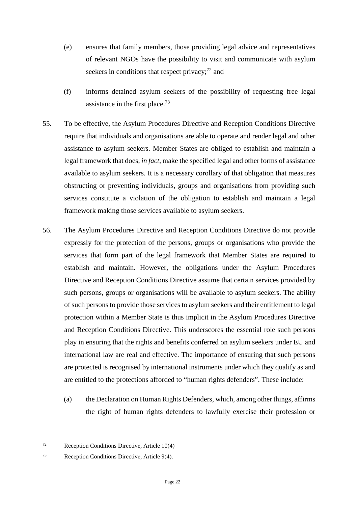- (e) ensures that family members, those providing legal advice and representatives of relevant NGOs have the possibility to visit and communicate with asylum seekers in conditions that respect privacy; $^{72}$  $^{72}$  $^{72}$  and
- (f) informs detained asylum seekers of the possibility of requesting free legal assistance in the first place.<sup>[73](#page-23-1)</sup>
- 55. To be effective, the Asylum Procedures Directive and Reception Conditions Directive require that individuals and organisations are able to operate and render legal and other assistance to asylum seekers. Member States are obliged to establish and maintain a legal framework that does, *in fact*, make the specified legal and other forms of assistance available to asylum seekers. It is a necessary corollary of that obligation that measures obstructing or preventing individuals, groups and organisations from providing such services constitute a violation of the obligation to establish and maintain a legal framework making those services available to asylum seekers.
- 56. The Asylum Procedures Directive and Reception Conditions Directive do not provide expressly for the protection of the persons, groups or organisations who provide the services that form part of the legal framework that Member States are required to establish and maintain. However, the obligations under the Asylum Procedures Directive and Reception Conditions Directive assume that certain services provided by such persons, groups or organisations will be available to asylum seekers. The ability of such persons to provide those services to asylum seekers and their entitlement to legal protection within a Member State is thus implicit in the Asylum Procedures Directive and Reception Conditions Directive. This underscores the essential role such persons play in ensuring that the rights and benefits conferred on asylum seekers under EU and international law are real and effective. The importance of ensuring that such persons are protected is recognised by international instruments under which they qualify as and are entitled to the protections afforded to "human rights defenders". These include:
	- (a) the Declaration on Human Rights Defenders, which, among other things, affirms the right of human rights defenders to lawfully exercise their profession or

<span id="page-23-0"></span><sup>72</sup> Reception Conditions Directive, Article 10(4)

<span id="page-23-1"></span><sup>73</sup> Reception Conditions Directive, Article 9(4).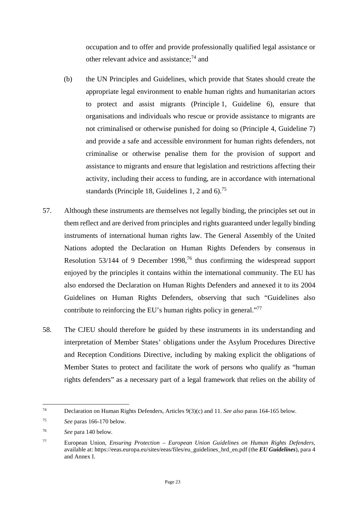occupation and to offer and provide professionally qualified legal assistance or other relevant advice and assistance;<sup>[74](#page-24-0)</sup> and

- (b) the UN Principles and Guidelines, which provide that States should create the appropriate legal environment to enable human rights and humanitarian actors to protect and assist migrants (Principle 1, Guideline 6), ensure that organisations and individuals who rescue or provide assistance to migrants are not criminalised or otherwise punished for doing so (Principle 4, Guideline 7) and provide a safe and accessible environment for human rights defenders, not criminalise or otherwise penalise them for the provision of support and assistance to migrants and ensure that legislation and restrictions affecting their activity, including their access to funding, are in accordance with international standards (Principle 18, Guidelines 1, 2 and  $6$ ).<sup>[75](#page-24-1)</sup>
- 57. Although these instruments are themselves not legally binding, the principles set out in them reflect and are derived from principles and rights guaranteed under legally binding instruments of international human rights law. The General Assembly of the United Nations adopted the Declaration on Human Rights Defenders by consensus in Resolution 53/144 of 9 December 1998,<sup>[76](#page-24-2)</sup> thus confirming the widespread support enjoyed by the principles it contains within the international community. The EU has also endorsed the Declaration on Human Rights Defenders and annexed it to its 2004 Guidelines on Human Rights Defenders, observing that such "Guidelines also contribute to reinforcing the EU's human rights policy in general."<sup>[77](#page-24-3)</sup>
- 58. The CJEU should therefore be guided by these instruments in its understanding and interpretation of Member States' obligations under the Asylum Procedures Directive and Reception Conditions Directive, including by making explicit the obligations of Member States to protect and facilitate the work of persons who qualify as "human rights defenders" as a necessary part of a legal framework that relies on the ability of

<span id="page-24-0"></span><sup>74</sup> Declaration on Human Rights Defenders, Articles 9(3)(c) and 11. *See also* paras 164-165 below.

<span id="page-24-1"></span><sup>75</sup> *See* paras 166-170 below.

<span id="page-24-2"></span><sup>76</sup> *See* para 140 below.

<span id="page-24-3"></span><sup>77</sup> European Union, *Ensuring Protection – European Union Guidelines on Human Rights Defenders*, available at: https://eeas.europa.eu/sites/eeas/files/eu\_guidelines\_hrd\_en.pdf (the *EU Guidelines*), para 4 and Annex I.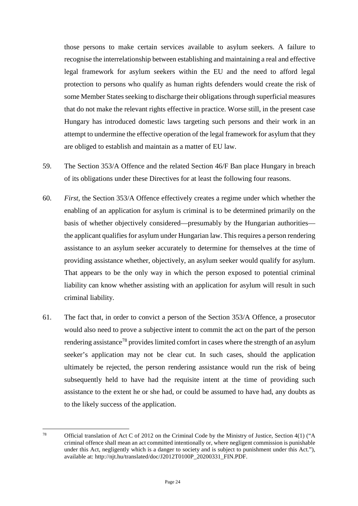those persons to make certain services available to asylum seekers. A failure to recognise the interrelationship between establishing and maintaining a real and effective legal framework for asylum seekers within the EU and the need to afford legal protection to persons who qualify as human rights defenders would create the risk of some Member States seeking to discharge their obligations through superficial measures that do not make the relevant rights effective in practice. Worse still, in the present case Hungary has introduced domestic laws targeting such persons and their work in an attempt to undermine the effective operation of the legal framework for asylum that they are obliged to establish and maintain as a matter of EU law.

- 59. The Section 353/A Offence and the related Section 46/F Ban place Hungary in breach of its obligations under these Directives for at least the following four reasons.
- 60. *First*, the Section 353/A Offence effectively creates a regime under which whether the enabling of an application for asylum is criminal is to be determined primarily on the basis of whether objectively considered—presumably by the Hungarian authorities the applicant qualifies for asylum under Hungarian law. This requires a person rendering assistance to an asylum seeker accurately to determine for themselves at the time of providing assistance whether, objectively, an asylum seeker would qualify for asylum. That appears to be the only way in which the person exposed to potential criminal liability can know whether assisting with an application for asylum will result in such criminal liability.
- 61. The fact that, in order to convict a person of the Section 353/A Offence, a prosecutor would also need to prove a subjective intent to commit the act on the part of the person rendering assistance<sup>[78](#page-25-0)</sup> provides limited comfort in cases where the strength of an asylum seeker's application may not be clear cut. In such cases, should the application ultimately be rejected, the person rendering assistance would run the risk of being subsequently held to have had the requisite intent at the time of providing such assistance to the extent he or she had, or could be assumed to have had, any doubts as to the likely success of the application.

<span id="page-25-0"></span><sup>78</sup> Official translation of Act C of 2012 on the Criminal Code by the Ministry of Justice, Section 4(1) ("A criminal offence shall mean an act committed intentionally or, where negligent commission is punishable under this Act, negligently which is a danger to society and is subject to punishment under this Act."), available at: http://njt.hu/translated/doc/J2012T0100P\_20200331\_FIN.PDF.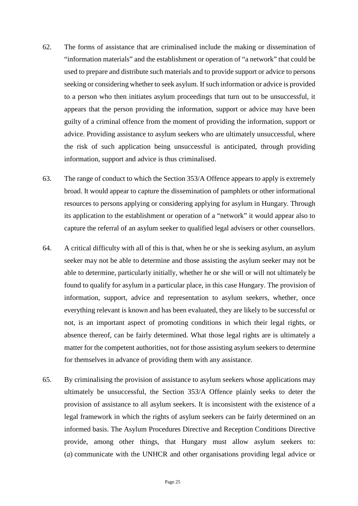- 62. The forms of assistance that are criminalised include the making or dissemination of "information materials" and the establishment or operation of "a network" that could be used to prepare and distribute such materials and to provide support or advice to persons seeking or considering whether to seek asylum. If such information or advice is provided to a person who then initiates asylum proceedings that turn out to be unsuccessful, it appears that the person providing the information, support or advice may have been guilty of a criminal offence from the moment of providing the information, support or advice. Providing assistance to asylum seekers who are ultimately unsuccessful, where the risk of such application being unsuccessful is anticipated, through providing information, support and advice is thus criminalised.
- 63. The range of conduct to which the Section 353/A Offence appears to apply is extremely broad. It would appear to capture the dissemination of pamphlets or other informational resources to persons applying or considering applying for asylum in Hungary. Through its application to the establishment or operation of a "network" it would appear also to capture the referral of an asylum seeker to qualified legal advisers or other counsellors.
- 64. A critical difficulty with all of this is that, when he or she is seeking asylum, an asylum seeker may not be able to determine and those assisting the asylum seeker may not be able to determine, particularly initially, whether he or she will or will not ultimately be found to qualify for asylum in a particular place, in this case Hungary. The provision of information, support, advice and representation to asylum seekers, whether, once everything relevant is known and has been evaluated, they are likely to be successful or not, is an important aspect of promoting conditions in which their legal rights, or absence thereof, can be fairly determined. What those legal rights are is ultimately a matter for the competent authorities, not for those assisting asylum seekers to determine for themselves in advance of providing them with any assistance.
- 65. By criminalising the provision of assistance to asylum seekers whose applications may ultimately be unsuccessful, the Section 353/A Offence plainly seeks to deter the provision of assistance to all asylum seekers. It is inconsistent with the existence of a legal framework in which the rights of asylum seekers can be fairly determined on an informed basis. The Asylum Procedures Directive and Reception Conditions Directive provide, among other things, that Hungary must allow asylum seekers to: (*a*) communicate with the UNHCR and other organisations providing legal advice or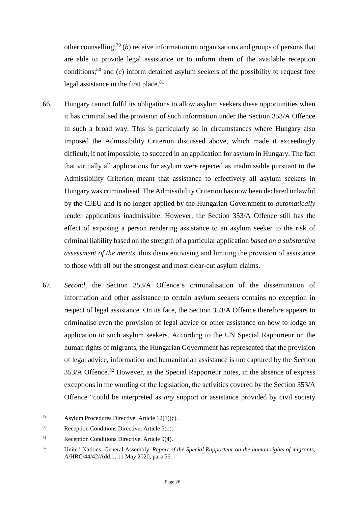other counselling;<sup>[79](#page-27-0)</sup> (*b*) receive information on organisations and groups of persons that are able to provide legal assistance or to inform them of the available reception conditions;<sup>[80](#page-27-1)</sup> and  $(c)$  inform detained asylum seekers of the possibility to request free legal assistance in the first place.<sup>[81](#page-27-2)</sup>

- 66. Hungary cannot fulfil its obligations to allow asylum seekers these opportunities when it has criminalised the provision of such information under the Section 353/A Offence in such a broad way. This is particularly so in circumstances where Hungary also imposed the Admissibility Criterion discussed above, which made it exceedingly difficult, if not impossible, to succeed in an application for asylum in Hungary. The fact that virtually all applications for asylum were rejected as inadmissible pursuant to the Admissibility Criterion meant that assistance to effectively all asylum seekers in Hungary was criminalised. The Admissibility Criterion has now been declared unlawful by the CJEU and is no longer applied by the Hungarian Government to *automatically* render applications inadmissible. However, the Section 353/A Offence still has the effect of exposing a person rendering assistance to an asylum seeker to the risk of criminal liability based on the strength of a particular application *based on a substantive assessment of the merits*, thus disincentivising and limiting the provision of assistance to those with all but the strongest and most clear-cut asylum claims.
- 67. *Second*, the Section 353/A Offence's criminalisation of the dissemination of information and other assistance to certain asylum seekers contains no exception in respect of legal assistance. On its face, the Section 353/A Offence therefore appears to criminalise even the provision of legal advice or other assistance on how to lodge an application to such asylum seekers. According to the UN Special Rapporteur on the human rights of migrants, the Hungarian Government has represented that the provision of legal advice, information and humanitarian assistance is not captured by the Section 353/A Offence.<sup>[82](#page-27-3)</sup> However, as the Special Rapporteur notes, in the absence of express exceptions in the wording of the legislation, the activities covered by the Section 353/A Offence "could be interpreted as *any* support or assistance provided by civil society

<span id="page-27-0"></span><sup>79</sup> Asylum Procedures Directive, Article  $12(1)(c)$ .

<span id="page-27-1"></span><sup>80</sup> Reception Conditions Directive, Article 5(1).

<span id="page-27-2"></span><sup>81</sup> Reception Conditions Directive, Article 9(4).

<span id="page-27-3"></span><sup>82</sup> United Nations, General Assembly, *Report of the Special Rapporteur on the human rights of migrants*, A/HRC/44/42/Add.1, 11 May 2020, para 56.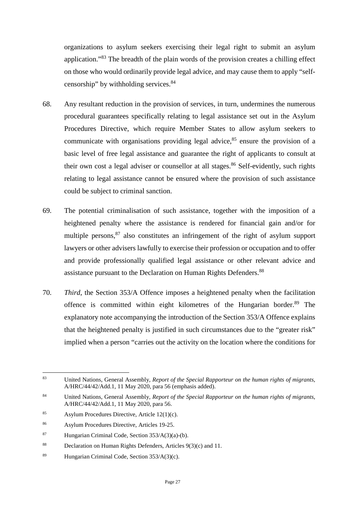organizations to asylum seekers exercising their legal right to submit an asylum application."[83](#page-28-0) The breadth of the plain words of the provision creates a chilling effect on those who would ordinarily provide legal advice, and may cause them to apply "self-censorship" by withholding services.<sup>[84](#page-28-1)</sup>

- 68. Any resultant reduction in the provision of services, in turn, undermines the numerous procedural guarantees specifically relating to legal assistance set out in the Asylum Procedures Directive, which require Member States to allow asylum seekers to communicate with organisations providing legal advice,  $85$  ensure the provision of a basic level of free legal assistance and guarantee the right of applicants to consult at their own cost a legal adviser or counsellor at all stages.<sup>[86](#page-28-3)</sup> Self-evidently, such rights relating to legal assistance cannot be ensured where the provision of such assistance could be subject to criminal sanction.
- 69. The potential criminalisation of such assistance, together with the imposition of a heightened penalty where the assistance is rendered for financial gain and/or for multiple persons,  $87$  also constitutes an infringement of the right of asylum support lawyers or other advisers lawfully to exercise their profession or occupation and to offer and provide professionally qualified legal assistance or other relevant advice and assistance pursuant to the Declaration on Human Rights Defenders.<sup>[88](#page-28-5)</sup>
- 70. *Third*, the Section 353/A Offence imposes a heightened penalty when the facilitation offence is committed within eight kilometres of the Hungarian border.<sup>[89](#page-28-6)</sup> The explanatory note accompanying the introduction of the Section 353/A Offence explains that the heightened penalty is justified in such circumstances due to the "greater risk" implied when a person "carries out the activity on the location where the conditions for

<span id="page-28-0"></span><sup>83</sup> United Nations, General Assembly, *Report of the Special Rapporteur on the human rights of migrants*, A/HRC/44/42/Add.1, 11 May 2020, para 56 (emphasis added).

<span id="page-28-1"></span><sup>84</sup> United Nations, General Assembly, *Report of the Special Rapporteur on the human rights of migrants*, A/HRC/44/42/Add.1, 11 May 2020, para 56.

<span id="page-28-2"></span><sup>85</sup> Asylum Procedures Directive, Article  $12(1)(c)$ .

<span id="page-28-3"></span><sup>86</sup> Asylum Procedures Directive, Articles 19-25.

<span id="page-28-4"></span><sup>&</sup>lt;sup>87</sup> Hungarian Criminal Code, Section  $353/A(3)(a)$ -(b).

<span id="page-28-5"></span><sup>88</sup> Declaration on Human Rights Defenders, Articles 9(3)(c) and 11.

<span id="page-28-6"></span><sup>89</sup> Hungarian Criminal Code, Section 353/A(3)(c).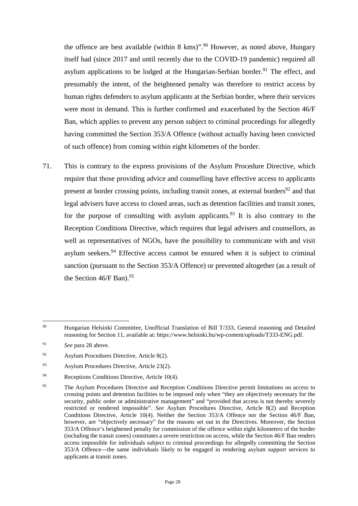the offence are best available (within  $8 \text{ km s}$ )".<sup>[90](#page-29-0)</sup> However, as noted above, Hungary itself had (since 2017 and until recently due to the COVID-19 pandemic) required all asylum applications to be lodged at the Hungarian-Serbian border.<sup>[91](#page-29-1)</sup> The effect, and presumably the intent, of the heightened penalty was therefore to restrict access by human rights defenders to asylum applicants at the Serbian border, where their services were most in demand. This is further confirmed and exacerbated by the Section 46/F Ban, which applies to prevent any person subject to criminal proceedings for allegedly having committed the Section 353/A Offence (without actually having been convicted of such offence) from coming within eight kilometres of the border.

71. This is contrary to the express provisions of the Asylum Procedure Directive, which require that those providing advice and counselling have effective access to applicants present at border crossing points, including transit zones, at external borders<sup>[92](#page-29-2)</sup> and that legal advisers have access to closed areas, such as detention facilities and transit zones, for the purpose of consulting with asylum applicants.<sup>[93](#page-29-3)</sup> It is also contrary to the Reception Conditions Directive, which requires that legal advisers and counsellors, as well as representatives of NGOs, have the possibility to communicate with and visit asylum seekers. $94$  Effective access cannot be ensured when it is subject to criminal sanction (pursuant to the Section 353/A Offence) or prevented altogether (as a result of the Section  $46/F$  Ban).<sup>[95](#page-29-5)</sup>

<span id="page-29-0"></span><sup>90</sup> Hungarian Helsinki Committee, Unofficial Translation of Bill T/333, General reasoning and Detailed reasoning for Section 11, available at: https://www.helsinki.hu/wp-content/uploads/T333-ENG.pdf.

<span id="page-29-1"></span><sup>91</sup> *See* para 28 above.

<span id="page-29-2"></span><sup>92</sup> Asylum Procedures Directive, Article 8(2).

<span id="page-29-3"></span><sup>93</sup> Asylum Procedures Directive, Article 23(2).

<span id="page-29-4"></span><sup>&</sup>lt;sup>94</sup> Receptions Conditions Directive, Article 10(4).

<span id="page-29-5"></span><sup>&</sup>lt;sup>95</sup> The Asylum Procedures Directive and Reception Conditions Directive permit limitations on access to crossing points and detention facilities to be imposed only when "they are objectively necessary for the security, public order or administrative management" and "provided that access is not thereby severely restricted or rendered impossible". *See* Asylum Procedures Directive, Article 8(2) and Reception Conditions Directive, Article 10(4). Neither the Section 353/A Offence nor the Section 46/F Ban, however, are "objectively necessary" for the reasons set out in the Directives. Moreover, the Section 353/A Offence's heightened penalty for commission of the offence within eight kilometers of the border (including the transit zones) constitutes a severe restriction on access, while the Section 46/F Ban renders access impossible for individuals subject to criminal proceedings for allegedly committing the Section 353/A Offence—the same individuals likely to be engaged in rendering asylum support services to applicants at transit zones.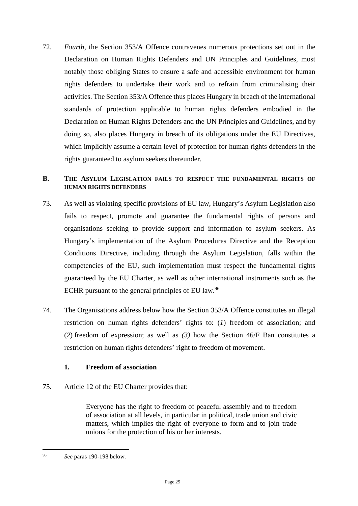72. *Fourth*, the Section 353/A Offence contravenes numerous protections set out in the Declaration on Human Rights Defenders and UN Principles and Guidelines, most notably those obliging States to ensure a safe and accessible environment for human rights defenders to undertake their work and to refrain from criminalising their activities. The Section 353/A Offence thus places Hungary in breach of the international standards of protection applicable to human rights defenders embodied in the Declaration on Human Rights Defenders and the UN Principles and Guidelines, and by doing so, also places Hungary in breach of its obligations under the EU Directives, which implicitly assume a certain level of protection for human rights defenders in the rights guaranteed to asylum seekers thereunder.

#### <span id="page-30-0"></span>**B. THE ASYLUM LEGISLATION FAILS TO RESPECT THE FUNDAMENTAL RIGHTS OF HUMAN RIGHTS DEFENDERS**

- 73. As well as violating specific provisions of EU law, Hungary's Asylum Legislation also fails to respect, promote and guarantee the fundamental rights of persons and organisations seeking to provide support and information to asylum seekers. As Hungary's implementation of the Asylum Procedures Directive and the Reception Conditions Directive, including through the Asylum Legislation, falls within the competencies of the EU, such implementation must respect the fundamental rights guaranteed by the EU Charter, as well as other international instruments such as the ECHR pursuant to the general principles of EU law.<sup>[96](#page-30-2)</sup>
- 74. The Organisations address below how the Section 353/A Offence constitutes an illegal restriction on human rights defenders' rights to: (*1*) freedom of association; and (*2*) freedom of expression; as well as *(3)* how the Section 46/F Ban constitutes a restriction on human rights defenders' right to freedom of movement.

### <span id="page-30-1"></span>**1. Freedom of association**

75. Article 12 of the EU Charter provides that:

Everyone has the right to freedom of peaceful assembly and to freedom of association at all levels, in particular in political, trade union and civic matters, which implies the right of everyone to form and to join trade unions for the protection of his or her interests.

<span id="page-30-2"></span><sup>96</sup> *See* paras 190-198 below.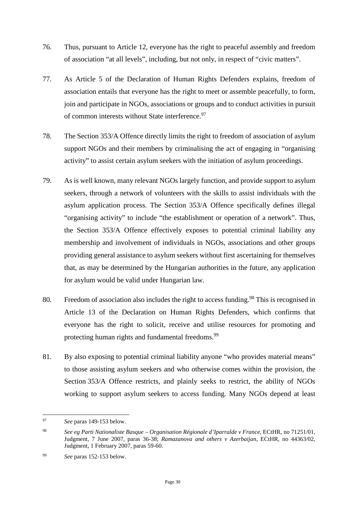- 76. Thus, pursuant to Article 12, everyone has the right to peaceful assembly and freedom of association "at all levels", including, but not only, in respect of "civic matters".
- 77. As Article 5 of the Declaration of Human Rights Defenders explains, freedom of association entails that everyone has the right to meet or assemble peacefully, to form, join and participate in NGOs, associations or groups and to conduct activities in pursuit of common interests without State interference.<sup>[97](#page-31-0)</sup>
- 78. The Section 353/A Offence directly limits the right to freedom of association of asylum support NGOs and their members by criminalising the act of engaging in "organising activity" to assist certain asylum seekers with the initiation of asylum proceedings.
- 79. As is well known, many relevant NGOs largely function, and provide support to asylum seekers, through a network of volunteers with the skills to assist individuals with the asylum application process. The Section 353/A Offence specifically defines illegal "organising activity" to include "the establishment or operation of a network". Thus, the Section 353/A Offence effectively exposes to potential criminal liability any membership and involvement of individuals in NGOs, associations and other groups providing general assistance to asylum seekers without first ascertaining for themselves that, as may be determined by the Hungarian authorities in the future, any application for asylum would be valid under Hungarian law.
- 80. Freedom of association also includes the right to access funding.<sup>[98](#page-31-1)</sup> This is recognised in Article 13 of the Declaration on Human Rights Defenders, which confirms that everyone has the right to solicit, receive and utilise resources for promoting and protecting human rights and fundamental freedoms.<sup>[99](#page-31-2)</sup>
- 81. By also exposing to potential criminal liability anyone "who provides material means" to those assisting asylum seekers and who otherwise comes within the provision, the Section 353/A Offence restricts, and plainly seeks to restrict, the ability of NGOs working to support asylum seekers to access funding. Many NGOs depend at least

<span id="page-31-0"></span><sup>97</sup> *See* paras 149-153 below.

<span id="page-31-1"></span><sup>98</sup> *See eg Parti Nationaliste Basque – Organisation Régionale d'Iparralde v France*, ECtHR, no 71251/01, Judgment, 7 June 2007, paras 36-38; *Ramazanova and others v Azerbaijan*, ECtHR, no 44363/02, Judgment, 1 February 2007, paras 59-60.

<span id="page-31-2"></span><sup>99</sup> *See* paras 152-153 below.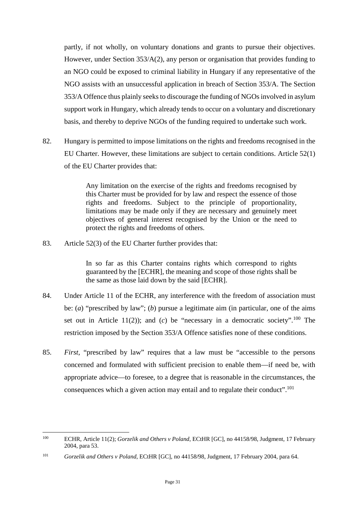partly, if not wholly, on voluntary donations and grants to pursue their objectives. However, under Section 353/A(2), any person or organisation that provides funding to an NGO could be exposed to criminal liability in Hungary if any representative of the NGO assists with an unsuccessful application in breach of Section 353/A. The Section 353/A Offence thus plainly seeks to discourage the funding of NGOs involved in asylum support work in Hungary, which already tends to occur on a voluntary and discretionary basis, and thereby to deprive NGOs of the funding required to undertake such work.

82. Hungary is permitted to impose limitations on the rights and freedoms recognised in the EU Charter. However, these limitations are subject to certain conditions. Article 52(1) of the EU Charter provides that:

> Any limitation on the exercise of the rights and freedoms recognised by this Charter must be provided for by law and respect the essence of those rights and freedoms. Subject to the principle of proportionality, limitations may be made only if they are necessary and genuinely meet objectives of general interest recognised by the Union or the need to protect the rights and freedoms of others.

83. Article 52(3) of the EU Charter further provides that:

In so far as this Charter contains rights which correspond to rights guaranteed by the [ECHR], the meaning and scope of those rights shall be the same as those laid down by the said [ECHR].

- 84. Under Article 11 of the ECHR, any interference with the freedom of association must be: (*a*) "prescribed by law"; (*b*) pursue a legitimate aim (in particular, one of the aims set out in Article 11(2)); and (*c*) be "necessary in a democratic society".<sup>[100](#page-32-0)</sup> The restriction imposed by the Section 353/A Offence satisfies none of these conditions.
- 85. *First*, "prescribed by law" requires that a law must be "accessible to the persons concerned and formulated with sufficient precision to enable them—if need be, with appropriate advice—to foresee, to a degree that is reasonable in the circumstances, the consequences which a given action may entail and to regulate their conduct".<sup>[101](#page-32-1)</sup>

<span id="page-32-0"></span><sup>100</sup> ECHR, Article 11(2); *Gorzelik and Others v Poland*, ECtHR [GC], no 44158/98, Judgment, 17 February 2004, para 53.

<span id="page-32-1"></span><sup>101</sup> *Gorzelik and Others v Poland*, ECtHR [GC], no 44158/98, Judgment, 17 February 2004, para 64.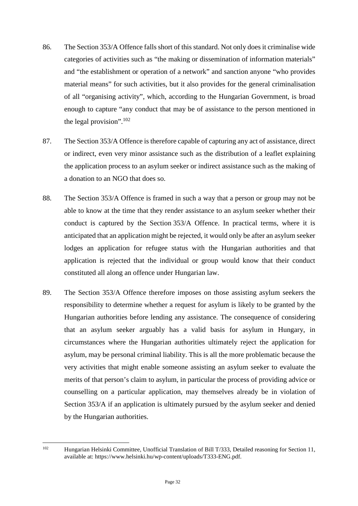- 86. The Section 353/A Offence falls short of this standard. Not only does it criminalise wide categories of activities such as "the making or dissemination of information materials" and "the establishment or operation of a network" and sanction anyone "who provides material means" for such activities, but it also provides for the general criminalisation of all "organising activity", which, according to the Hungarian Government, is broad enough to capture "any conduct that may be of assistance to the person mentioned in the legal provision".<sup>[102](#page-33-0)</sup>
- 87. The Section 353/A Offence is therefore capable of capturing any act of assistance, direct or indirect, even very minor assistance such as the distribution of a leaflet explaining the application process to an asylum seeker or indirect assistance such as the making of a donation to an NGO that does so.
- 88. The Section 353/A Offence is framed in such a way that a person or group may not be able to know at the time that they render assistance to an asylum seeker whether their conduct is captured by the Section 353/A Offence. In practical terms, where it is anticipated that an application might be rejected, it would only be after an asylum seeker lodges an application for refugee status with the Hungarian authorities and that application is rejected that the individual or group would know that their conduct constituted all along an offence under Hungarian law.
- 89. The Section 353/A Offence therefore imposes on those assisting asylum seekers the responsibility to determine whether a request for asylum is likely to be granted by the Hungarian authorities before lending any assistance. The consequence of considering that an asylum seeker arguably has a valid basis for asylum in Hungary, in circumstances where the Hungarian authorities ultimately reject the application for asylum, may be personal criminal liability. This is all the more problematic because the very activities that might enable someone assisting an asylum seeker to evaluate the merits of that person's claim to asylum, in particular the process of providing advice or counselling on a particular application, may themselves already be in violation of Section 353/A if an application is ultimately pursued by the asylum seeker and denied by the Hungarian authorities.

<span id="page-33-0"></span>

<sup>102</sup> Hungarian Helsinki Committee, Unofficial Translation of Bill T/333, Detailed reasoning for Section 11, available at: https://www.helsinki.hu/wp-content/uploads/T333-ENG.pdf.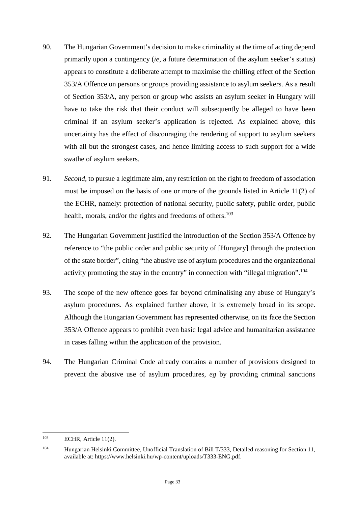- 90. The Hungarian Government's decision to make criminality at the time of acting depend primarily upon a contingency (*ie*, a future determination of the asylum seeker's status) appears to constitute a deliberate attempt to maximise the chilling effect of the Section 353/A Offence on persons or groups providing assistance to asylum seekers. As a result of Section 353/A, any person or group who assists an asylum seeker in Hungary will have to take the risk that their conduct will subsequently be alleged to have been criminal if an asylum seeker's application is rejected. As explained above, this uncertainty has the effect of discouraging the rendering of support to asylum seekers with all but the strongest cases, and hence limiting access to such support for a wide swathe of asylum seekers.
- 91. *Second*, to pursue a legitimate aim, any restriction on the right to freedom of association must be imposed on the basis of one or more of the grounds listed in Article 11(2) of the ECHR, namely: protection of national security, public safety, public order, public health, morals, and/or the rights and freedoms of others.<sup>[103](#page-34-0)</sup>
- 92. The Hungarian Government justified the introduction of the Section 353/A Offence by reference to "the public order and public security of [Hungary] through the protection of the state border", citing "the abusive use of asylum procedures and the organizational activity promoting the stay in the country" in connection with "illegal migration".<sup>[104](#page-34-1)</sup>
- 93. The scope of the new offence goes far beyond criminalising any abuse of Hungary's asylum procedures. As explained further above, it is extremely broad in its scope. Although the Hungarian Government has represented otherwise, on its face the Section 353/A Offence appears to prohibit even basic legal advice and humanitarian assistance in cases falling within the application of the provision.
- 94. The Hungarian Criminal Code already contains a number of provisions designed to prevent the abusive use of asylum procedures, *eg* by providing criminal sanctions

<span id="page-34-0"></span> $103$  ECHR, Article 11(2).

<span id="page-34-1"></span><sup>104</sup> Hungarian Helsinki Committee, Unofficial Translation of Bill T/333, Detailed reasoning for Section 11, available at: https://www.helsinki.hu/wp-content/uploads/T333-ENG.pdf.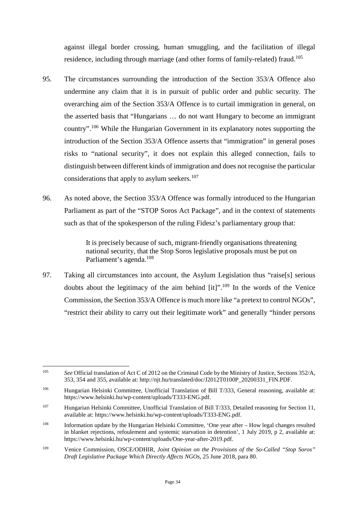against illegal border crossing, human smuggling, and the facilitation of illegal residence, including through marriage (and other forms of family-related) fraud.<sup>[105](#page-35-0)</sup>

- 95. The circumstances surrounding the introduction of the Section 353/A Offence also undermine any claim that it is in pursuit of public order and public security. The overarching aim of the Section 353/A Offence is to curtail immigration in general, on the asserted basis that "Hungarians … do not want Hungary to become an immigrant country".[106](#page-35-1) While the Hungarian Government in its explanatory notes supporting the introduction of the Section 353/A Offence asserts that "immigration" in general poses risks to "national security", it does not explain this alleged connection, fails to distinguish between different kinds of immigration and does not recognise the particular considerations that apply to asylum seekers.<sup>[107](#page-35-2)</sup>
- 96. As noted above, the Section 353/A Offence was formally introduced to the Hungarian Parliament as part of the "STOP Soros Act Package", and in the context of statements such as that of the spokesperson of the ruling Fidesz's parliamentary group that:

It is precisely because of such, migrant-friendly organisations threatening national security, that the Stop Soros legislative proposals must be put on Parliament's agenda.<sup>[108](#page-35-3)</sup>

97. Taking all circumstances into account, the Asylum Legislation thus "raise[s] serious doubts about the legitimacy of the aim behind  $[it]$ ".<sup>[109](#page-35-4)</sup> In the words of the Venice Commission, the Section 353/A Offence is much more like "a pretext to control NGOs", "restrict their ability to carry out their legitimate work" and generally "hinder persons

<span id="page-35-0"></span><sup>105</sup> *See* Official translation of Act C of 2012 on the Criminal Code by the Ministry of Justice, Sections 352/A, 353, 354 and 355, available at: http://njt.hu/translated/doc/J2012T0100P\_20200331\_FIN.PDF.

<span id="page-35-1"></span><sup>&</sup>lt;sup>106</sup> Hungarian Helsinki Committee, Unofficial Translation of Bill T/333, General reasoning, available at: https://www.helsinki.hu/wp-content/uploads/T333-ENG.pdf.

<span id="page-35-2"></span><sup>107</sup> Hungarian Helsinki Committee, Unofficial Translation of Bill T/333, Detailed reasoning for Section 11, available at: https://www.helsinki.hu/wp-content/uploads/T333-ENG.pdf.

<span id="page-35-3"></span><sup>108</sup> Information update by the Hungarian Helsinki Committee, 'One year after – How legal changes resulted in blanket rejections, refoulement and systemic starvation in detention', 1 July 2019, p 2, available at: https://www.helsinki.hu/wp-content/uploads/One-year-after-2019.pdf.

<span id="page-35-4"></span><sup>109</sup> Venice Commission, OSCE/ODHIR, *Joint Opinion on the Provisions of the So-Called "Stop Soros" Draft Legislative Package Which Directly Affects NGOs*, 25 June 2018, para 80.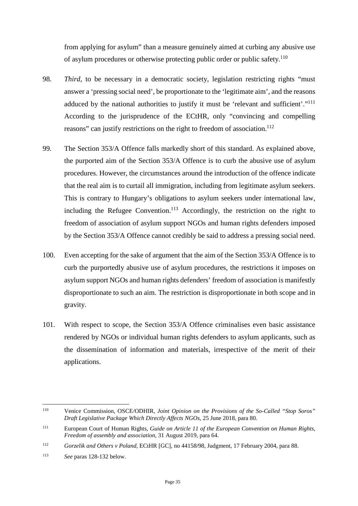from applying for asylum" than a measure genuinely aimed at curbing any abusive use of asylum procedures or otherwise protecting public order or public safety.[110](#page-36-0)

- 98. *Third*, to be necessary in a democratic society, legislation restricting rights "must answer a 'pressing social need', be proportionate to the 'legitimate aim', and the reasons adduced by the national authorities to justify it must be 'relevant and sufficient'."<sup>[111](#page-36-1)</sup> According to the jurisprudence of the ECtHR, only "convincing and compelling reasons" can justify restrictions on the right to freedom of association.<sup>[112](#page-36-2)</sup>
- 99. The Section 353/A Offence falls markedly short of this standard. As explained above, the purported aim of the Section 353/A Offence is to curb the abusive use of asylum procedures. However, the circumstances around the introduction of the offence indicate that the real aim is to curtail all immigration, including from legitimate asylum seekers. This is contrary to Hungary's obligations to asylum seekers under international law, including the Refugee Convention.<sup>[113](#page-36-3)</sup> Accordingly, the restriction on the right to freedom of association of asylum support NGOs and human rights defenders imposed by the Section 353/A Offence cannot credibly be said to address a pressing social need.
- 100. Even accepting for the sake of argument that the aim of the Section 353/A Offence is to curb the purportedly abusive use of asylum procedures, the restrictions it imposes on asylum support NGOs and human rights defenders' freedom of association is manifestly disproportionate to such an aim. The restriction is disproportionate in both scope and in gravity.
- 101. With respect to scope, the Section 353/A Offence criminalises even basic assistance rendered by NGOs or individual human rights defenders to asylum applicants, such as the dissemination of information and materials, irrespective of the merit of their applications.

<span id="page-36-0"></span><sup>110</sup> Venice Commission, OSCE/ODHIR, *Joint Opinion on the Provisions of the So-Called "Stop Soros" Draft Legislative Package Which Directly Affects NGOs*, 25 June 2018, para 80.

<span id="page-36-1"></span><sup>111</sup> European Court of Human Rights, *Guide on Article 11 of the European Convention on Human Rights, Freedom of assembly and association*, 31 August 2019, para 64.

<span id="page-36-2"></span><sup>112</sup> *Gorzelik and Others v Poland*, ECtHR [GC], no 44158/98, Judgment, 17 February 2004, para 88.

<span id="page-36-3"></span><sup>113</sup> *See* paras 128-132 below.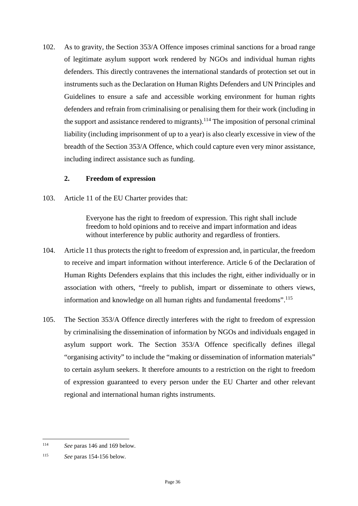102. As to gravity, the Section 353/A Offence imposes criminal sanctions for a broad range of legitimate asylum support work rendered by NGOs and individual human rights defenders. This directly contravenes the international standards of protection set out in instruments such as the Declaration on Human Rights Defenders and UN Principles and Guidelines to ensure a safe and accessible working environment for human rights defenders and refrain from criminalising or penalising them for their work (including in the support and assistance rendered to migrants).<sup>[114](#page-37-1)</sup> The imposition of personal criminal liability (including imprisonment of up to a year) is also clearly excessive in view of the breadth of the Section 353/A Offence, which could capture even very minor assistance, including indirect assistance such as funding.

#### <span id="page-37-0"></span>**2. Freedom of expression**

103. Article 11 of the EU Charter provides that:

Everyone has the right to freedom of expression. This right shall include freedom to hold opinions and to receive and impart information and ideas without interference by public authority and regardless of frontiers.

- 104. Article 11 thus protects the right to freedom of expression and, in particular, the freedom to receive and impart information without interference. Article 6 of the Declaration of Human Rights Defenders explains that this includes the right, either individually or in association with others, "freely to publish, impart or disseminate to others views, information and knowledge on all human rights and fundamental freedoms".<sup>[115](#page-37-2)</sup>
- 105. The Section 353/A Offence directly interferes with the right to freedom of expression by criminalising the dissemination of information by NGOs and individuals engaged in asylum support work. The Section 353/A Offence specifically defines illegal "organising activity" to include the "making or dissemination of information materials" to certain asylum seekers. It therefore amounts to a restriction on the right to freedom of expression guaranteed to every person under the EU Charter and other relevant regional and international human rights instruments.

<span id="page-37-1"></span><sup>114</sup> *See* paras 146 and 169 below.

<span id="page-37-2"></span><sup>115</sup> *See* paras 154-156 below.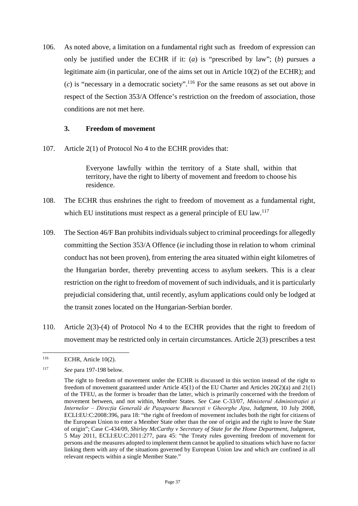106. As noted above, a limitation on a fundamental right such as freedom of expression can only be justified under the ECHR if it: (*a*) is "prescribed by law"; (*b*) pursues a legitimate aim (in particular, one of the aims set out in Article 10(2) of the ECHR); and (*c*) is "necessary in a democratic society".[116](#page-38-1) For the same reasons as set out above in respect of the Section 353/A Offence's restriction on the freedom of association, those conditions are not met here.

#### <span id="page-38-0"></span>**3. Freedom of movement**

107. Article 2(1) of Protocol No 4 to the ECHR provides that:

Everyone lawfully within the territory of a State shall, within that territory, have the right to liberty of movement and freedom to choose his residence.

- 108. The ECHR thus enshrines the right to freedom of movement as a fundamental right, which EU institutions must respect as a general principle of EU law.<sup>[117](#page-38-2)</sup>
- 109. The Section 46/F Ban prohibits individuals subject to criminal proceedings for allegedly committing the Section 353/A Offence (*ie* including those in relation to whom criminal conduct has not been proven), from entering the area situated within eight kilometres of the Hungarian border, thereby preventing access to asylum seekers. This is a clear restriction on the right to freedom of movement of such individuals, and it is particularly prejudicial considering that, until recently, asylum applications could only be lodged at the transit zones located on the Hungarian-Serbian border.
- 110. Article 2(3)-(4) of Protocol No 4 to the ECHR provides that the right to freedom of movement may be restricted only in certain circumstances. Article 2(3) prescribes a test

<span id="page-38-1"></span> $116$  ECHR, Article 10(2).

<span id="page-38-2"></span><sup>117</sup> *See* para 197-198 below.

The right to freedom of movement under the ECHR is discussed in this section instead of the right to freedom of movement guaranteed under Article 45(1) of the EU Charter and Articles 20(2)(a) and 21(1) of the TFEU, as the former is broader than the latter, which is primarily concerned with the freedom of movement between, and not within, Member States. *See* Case C-33/07, *Ministerul Administrației și Internelor – Direcția Generală de Pașapoarte București v Gheorghe Jipa*, Judgment, 10 July 2008, ECLI:EU:C:2008:396, para 18: "the right of freedom of movement includes both the right for citizens of the European Union to enter a Member State other than the one of origin and the right to leave the State of origin"; Case C-434/09, *Shirley McCarthy v Secretary of State for the Home Department*, Judgment, 5 May 2011, ECLI:EU:C:2011:277, para 45: "the Treaty rules governing freedom of movement for persons and the measures adopted to implement them cannot be applied to situations which have no factor linking them with any of the situations governed by European Union law and which are confined in all relevant respects within a single Member State."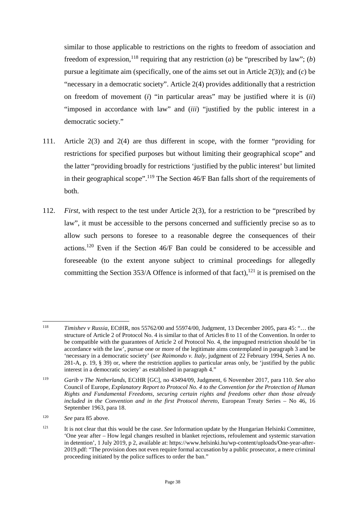similar to those applicable to restrictions on the rights to freedom of association and freedom of expression, <sup>[118](#page-39-0)</sup> requiring that any restriction (*a*) be "prescribed by law"; (*b*) pursue a legitimate aim (specifically, one of the aims set out in Article 2(3)); and (*c*) be "necessary in a democratic society". Article 2(4) provides additionally that a restriction on freedom of movement (*i*) "in particular areas" may be justified where it is (*ii*) "imposed in accordance with law" and (*iii*) "justified by the public interest in a democratic society."

- 111. Article 2(3) and 2(4) are thus different in scope, with the former "providing for restrictions for specified purposes but without limiting their geographical scope" and the latter "providing broadly for restrictions 'justified by the public interest' but limited in their geographical scope".[119](#page-39-1) The Section 46/F Ban falls short of the requirements of both.
- 112. *First*, with respect to the test under Article 2(3), for a restriction to be "prescribed by law", it must be accessible to the persons concerned and sufficiently precise so as to allow such persons to foresee to a reasonable degree the consequences of their actions.[120](#page-39-2) Even if the Section 46/F Ban could be considered to be accessible and foreseeable (to the extent anyone subject to criminal proceedings for allegedly committing the Section 353/A Offence is informed of that fact),  $^{121}$  $^{121}$  $^{121}$  it is premised on the

<span id="page-39-0"></span><sup>118</sup> *Timishev v Russia*, ECtHR, nos 55762/00 and 55974/00, Judgment, 13 December 2005, para 45: "… the structure of Article 2 of Protocol No. 4 is similar to that of Articles 8 to 11 of the Convention. In order to be compatible with the guarantees of Article 2 of Protocol No. 4, the impugned restriction should be 'in accordance with the law', pursue one or more of the legitimate aims contemplated in paragraph 3 and be 'necessary in a democratic society' (*see Raimondo v. Italy*, judgment of 22 February 1994, Series A no. 281-A, p. 19, § 39) or, where the restriction applies to particular areas only, be 'justified by the public interest in a democratic society' as established in paragraph 4."

<span id="page-39-1"></span><sup>119</sup> *Garib v The Netherlands*, ECtHR [GC], no 43494/09, Judgment, 6 November 2017, para 110. *See also*  Council of Europe, *Explanatory Report to Protocol No. 4 to the Convention for the Protection of Human Rights and Fundamental Freedoms, securing certain rights and freedoms other than those already included in the Convention and in the first Protocol thereto*, European Treaty Series – No 46, 16 September 1963, para 18.

<span id="page-39-2"></span><sup>120</sup> *See* para 85 above.

<span id="page-39-3"></span><sup>121</sup> It is not clear that this would be the case. *See* Information update by the Hungarian Helsinki Committee, 'One year after – How legal changes resulted in blanket rejections, refoulement and systemic starvation in detention', 1 July 2019, p 2, available at: https://www.helsinki.hu/wp-content/uploads/One-year-after-2019.pdf: "The provision does not even require formal accusation by a public prosecutor, a mere criminal proceeding initiated by the police suffices to order the ban."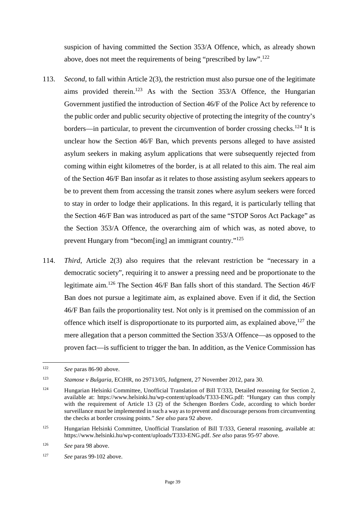suspicion of having committed the Section 353/A Offence, which, as already shown above, does not meet the requirements of being "prescribed by  $law$ ".<sup>[122](#page-40-0)</sup>

- 113. *Second*, to fall within Article 2(3), the restriction must also pursue one of the legitimate aims provided therein.<sup>[123](#page-40-1)</sup> As with the Section  $353/A$  Offence, the Hungarian Government justified the introduction of Section 46/F of the Police Act by reference to the public order and public security objective of protecting the integrity of the country's borders—in particular, to prevent the circumvention of border crossing checks.<sup>[124](#page-40-2)</sup> It is unclear how the Section 46/F Ban, which prevents persons alleged to have assisted asylum seekers in making asylum applications that were subsequently rejected from coming within eight kilometres of the border, is at all related to this aim. The real aim of the Section 46/F Ban insofar as it relates to those assisting asylum seekers appears to be to prevent them from accessing the transit zones where asylum seekers were forced to stay in order to lodge their applications. In this regard, it is particularly telling that the Section 46/F Ban was introduced as part of the same "STOP Soros Act Package" as the Section 353/A Offence, the overarching aim of which was, as noted above, to prevent Hungary from "becom[ing] an immigrant country."[125](#page-40-3)
- 114. *Third*, Article 2(3) also requires that the relevant restriction be "necessary in a democratic society", requiring it to answer a pressing need and be proportionate to the legitimate aim.[126](#page-40-4) The Section 46/F Ban falls short of this standard. The Section 46/F Ban does not pursue a legitimate aim, as explained above. Even if it did, the Section 46/F Ban fails the proportionality test. Not only is it premised on the commission of an offence which itself is disproportionate to its purported aim, as explained above,  $127$  the mere allegation that a person committed the Section 353/A Offence—as opposed to the proven fact—is sufficient to trigger the ban. In addition, as the Venice Commission has

<span id="page-40-0"></span><sup>122</sup> *See* paras 86-90 above.

<span id="page-40-1"></span><sup>123</sup> *Stamose v Bulgaria*, ECtHR, no 29713/05, Judgment, 27 November 2012, para 30.

<span id="page-40-2"></span><sup>&</sup>lt;sup>124</sup> Hungarian Helsinki Committee, Unofficial Translation of Bill T/333, Detailed reasoning for Section 2, available at: https://www.helsinki.hu/wp-content/uploads/T333-ENG.pdf: "Hungary can thus comply with the requirement of Article 13 (2) of the Schengen Borders Code, according to which border surveillance must be implemented in such a way as to prevent and discourage persons from circumventing the checks at border crossing points." *See also* para 92 above.

<span id="page-40-3"></span><sup>125</sup> Hungarian Helsinki Committee, Unofficial Translation of Bill T/333, General reasoning, available at: https://www.helsinki.hu/wp-content/uploads/T333-ENG.pdf. *See also* paras 95-97 above.

<span id="page-40-4"></span><sup>126</sup> *See* para 98 above.

<span id="page-40-5"></span><sup>127</sup> *See* paras 99-102 above.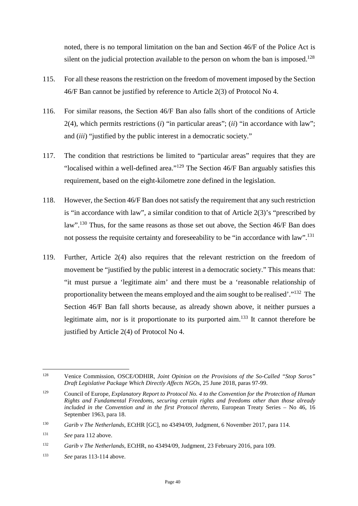noted, there is no temporal limitation on the ban and Section 46/F of the Police Act is silent on the judicial protection available to the person on whom the ban is imposed.<sup>[128](#page-41-0)</sup>

- 115. For all these reasons the restriction on the freedom of movement imposed by the Section 46/F Ban cannot be justified by reference to Article 2(3) of Protocol No 4.
- 116. For similar reasons, the Section 46/F Ban also falls short of the conditions of Article 2(4), which permits restrictions (*i*) "in particular areas"; (*ii*) "in accordance with law"; and (*iii*) "justified by the public interest in a democratic society."
- 117. The condition that restrictions be limited to "particular areas" requires that they are "localised within a well-defined area."[129](#page-41-1) The Section 46/F Ban arguably satisfies this requirement, based on the eight-kilometre zone defined in the legislation.
- 118. However, the Section 46/F Ban does not satisfy the requirement that any such restriction is "in accordance with law", a similar condition to that of Article 2(3)'s "prescribed by law".<sup>[130](#page-41-2)</sup> Thus, for the same reasons as those set out above, the Section 46/F Ban does not possess the requisite certainty and foreseeability to be "in accordance with law".<sup>[131](#page-41-3)</sup>
- 119. Further, Article 2(4) also requires that the relevant restriction on the freedom of movement be "justified by the public interest in a democratic society." This means that: "it must pursue a 'legitimate aim' and there must be a 'reasonable relationship of proportionality between the means employed and the aim sought to be realised'."[132](#page-41-4) The Section 46/F Ban fall shorts because, as already shown above, it neither pursues a legitimate aim, nor is it proportionate to its purported aim.<sup>[133](#page-41-5)</sup> It cannot therefore be justified by Article 2(4) of Protocol No 4.

<span id="page-41-5"></span><sup>133</sup> *See* paras 113-114 above.

<span id="page-41-0"></span><sup>128</sup> Venice Commission, OSCE/ODHIR, *Joint Opinion on the Provisions of the So-Called "Stop Soros" Draft Legislative Package Which Directly Affects NGOs*, 25 June 2018, paras 97-99.

<span id="page-41-1"></span><sup>129</sup> Council of Europe, *Explanatory Report to Protocol No. 4 to the Convention for the Protection of Human Rights and Fundamental Freedoms, securing certain rights and freedoms other than those already included in the Convention and in the first Protocol thereto*, European Treaty Series – No 46, 16 September 1963, para 18.

<span id="page-41-2"></span><sup>130</sup> *Garib v The Netherlands*, ECtHR [GC], no 43494/09, Judgment, 6 November 2017, para 114.

<span id="page-41-3"></span><sup>131</sup> *See* para 112 above.

<span id="page-41-4"></span><sup>132</sup> *Garib v The Netherlands*, ECtHR, no 43494/09, Judgment, 23 February 2016, para 109.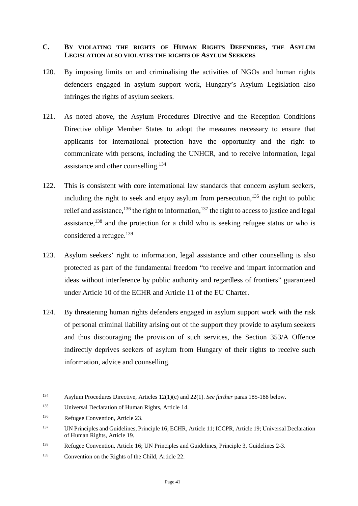### <span id="page-42-0"></span>**C. BY VIOLATING THE RIGHTS OF HUMAN RIGHTS DEFENDERS, THE ASYLUM LEGISLATION ALSO VIOLATES THE RIGHTS OF ASYLUM SEEKERS**

- 120. By imposing limits on and criminalising the activities of NGOs and human rights defenders engaged in asylum support work, Hungary's Asylum Legislation also infringes the rights of asylum seekers.
- 121. As noted above, the Asylum Procedures Directive and the Reception Conditions Directive oblige Member States to adopt the measures necessary to ensure that applicants for international protection have the opportunity and the right to communicate with persons, including the UNHCR, and to receive information, legal assistance and other counselling.<sup>[134](#page-42-1)</sup>
- 122. This is consistent with core international law standards that concern asylum seekers, including the right to seek and enjoy asylum from persecution, $135$  the right to public relief and assistance,  $^{136}$  $^{136}$  $^{136}$  the right to information,  $^{137}$  $^{137}$  $^{137}$  the right to access to justice and legal assistance, $138$  and the protection for a child who is seeking refugee status or who is considered a refugee. $139$
- 123. Asylum seekers' right to information, legal assistance and other counselling is also protected as part of the fundamental freedom "to receive and impart information and ideas without interference by public authority and regardless of frontiers" guaranteed under Article 10 of the ECHR and Article 11 of the EU Charter.
- 124. By threatening human rights defenders engaged in asylum support work with the risk of personal criminal liability arising out of the support they provide to asylum seekers and thus discouraging the provision of such services, the Section 353/A Offence indirectly deprives seekers of asylum from Hungary of their rights to receive such information, advice and counselling.

<span id="page-42-1"></span><sup>134</sup> Asylum Procedures Directive, Articles 12(1)(c) and 22(1). *See further* paras 185-188 below.

<span id="page-42-2"></span><sup>135</sup> Universal Declaration of Human Rights, Article 14.

<span id="page-42-3"></span><sup>136</sup> Refugee Convention, Article 23.

<span id="page-42-4"></span><sup>137</sup> UN Principles and Guidelines, Principle 16; ECHR, Article 11; ICCPR, Article 19; Universal Declaration of Human Rights, Article 19.

<span id="page-42-5"></span><sup>138</sup> Refugee Convention, Article 16; UN Principles and Guidelines, Principle 3, Guidelines 2-3.

<span id="page-42-6"></span><sup>139</sup> Convention on the Rights of the Child, Article 22.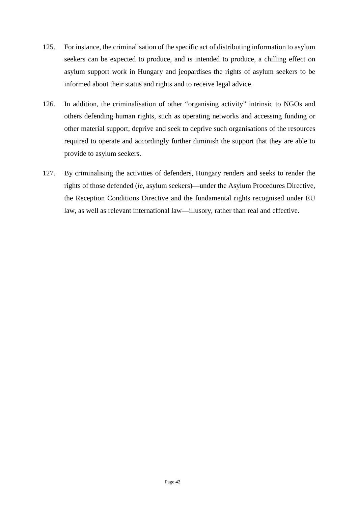- 125. For instance, the criminalisation of the specific act of distributing information to asylum seekers can be expected to produce, and is intended to produce, a chilling effect on asylum support work in Hungary and jeopardises the rights of asylum seekers to be informed about their status and rights and to receive legal advice.
- 126. In addition, the criminalisation of other "organising activity" intrinsic to NGOs and others defending human rights, such as operating networks and accessing funding or other material support, deprive and seek to deprive such organisations of the resources required to operate and accordingly further diminish the support that they are able to provide to asylum seekers.
- 127. By criminalising the activities of defenders, Hungary renders and seeks to render the rights of those defended (*ie*, asylum seekers)—under the Asylum Procedures Directive, the Reception Conditions Directive and the fundamental rights recognised under EU law, as well as relevant international law—illusory, rather than real and effective.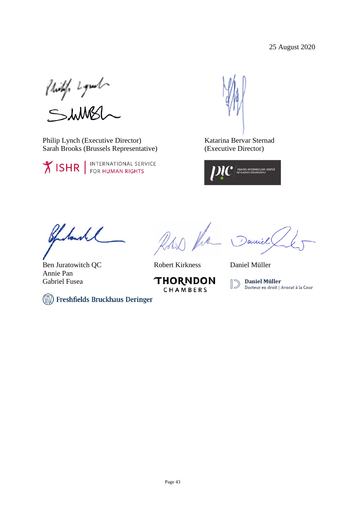Philip Lymb<br>ShMBL

Philip Lynch (Executive Director) Sarah Brooks (Brussels Representative)

**XISHR** FOR HUMAN RIGHTS

Katarina Bervar Sternad (Executive Director)



Charles

Ben Juratowitch QC Annie Pan Gabriel Fusea

Row the

Robert Kirkness Daniel Müller

**THORNDON** CHAMBERS

Daniel



(Wi) Freshfields Bruckhaus Deringer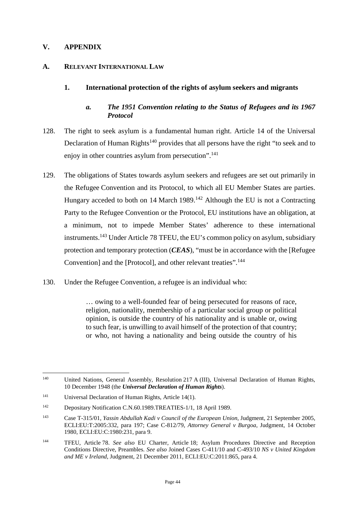### <span id="page-45-0"></span>**V. APPENDIX**

#### <span id="page-45-1"></span>**A. RELEVANT INTERNATIONAL LAW**

### <span id="page-45-3"></span><span id="page-45-2"></span>**1. International protection of the rights of asylum seekers and migrants**

### *a. The 1951 Convention relating to the Status of Refugees and its 1967 Protocol*

- 128. The right to seek asylum is a fundamental human right. Article 14 of the Universal Declaration of Human Rights<sup>[140](#page-45-4)</sup> provides that all persons have the right "to seek and to enjoy in other countries asylum from persecution".<sup>[141](#page-45-5)</sup>
- 129. The obligations of States towards asylum seekers and refugees are set out primarily in the Refugee Convention and its Protocol, to which all EU Member States are parties. Hungary acceded to both on 14 March 1989.<sup>[142](#page-45-6)</sup> Although the EU is not a Contracting Party to the Refugee Convention or the Protocol, EU institutions have an obligation, at a minimum, not to impede Member States' adherence to these international instruments.[143](#page-45-7) Under Article 78 TFEU, the EU's common policy on asylum, subsidiary protection and temporary protection (*CEAS*), "must be in accordance with the [Refugee Convention] and the [Protocol], and other relevant treaties".<sup>[144](#page-45-8)</sup>
- 130. Under the Refugee Convention, a refugee is an individual who:

… owing to a well-founded fear of being persecuted for reasons of race, religion, nationality, membership of a particular social group or political opinion, is outside the country of his nationality and is unable or, owing to such fear, is unwilling to avail himself of the protection of that country; or who, not having a nationality and being outside the country of his

<span id="page-45-4"></span><sup>&</sup>lt;sup>140</sup> United Nations, General Assembly, Resolution 217 A (III), Universal Declaration of Human Rights, 10 December 1948 (the *Universal Declaration of Human Rights*).

<span id="page-45-5"></span><sup>141</sup> Universal Declaration of Human Rights, Article 14(1).

<span id="page-45-6"></span><sup>142</sup> Depositary Notification C.N.60.1989.TREATIES-1/1, 18 April 1989.

<span id="page-45-7"></span><sup>143</sup> Case T-315/01, *Yassin Abdullah Kadi v Council of the European Union*, Judgment, 21 September 2005, ECLI:EU:T:2005:332, para 197; Case C-812/79, *Attorney General v Burgoa*, Judgment, 14 October 1980, ECLI:EU:C:1980:231, para 9.

<span id="page-45-8"></span><sup>144</sup> TFEU, Article 78. *See also* EU Charter, Article 18; Asylum Procedures Directive and Reception Conditions Directive, Preambles. *See also* Joined Cases C-411/10 and C-493/10 *NS v United Kingdom and ME v Ireland*, Judgment, 21 December 2011, ECLI:EU:C:2011:865, para 4.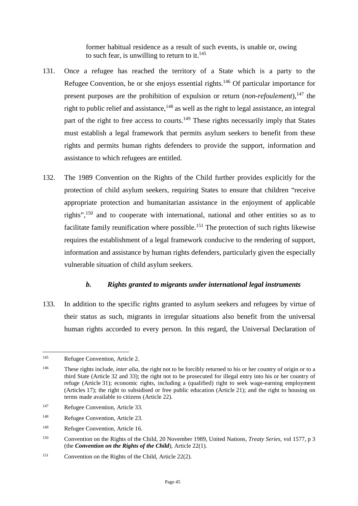former habitual residence as a result of such events, is unable or, owing to such fear, is unwilling to return to it. $145$ 

- 131. Once a refugee has reached the territory of a State which is a party to the Refugee Convention, he or she enjoys essential rights.<sup>[146](#page-46-2)</sup> Of particular importance for present purposes are the prohibition of expulsion or return (*non-refoulement*),<sup>[147](#page-46-3)</sup> the right to public relief and assistance,  $148$  as well as the right to legal assistance, an integral part of the right to free access to courts.<sup>[149](#page-46-5)</sup> These rights necessarily imply that States must establish a legal framework that permits asylum seekers to benefit from these rights and permits human rights defenders to provide the support, information and assistance to which refugees are entitled.
- 132. The 1989 Convention on the Rights of the Child further provides explicitly for the protection of child asylum seekers, requiring States to ensure that children "receive appropriate protection and humanitarian assistance in the enjoyment of applicable rights",[150](#page-46-6) and to cooperate with international, national and other entities so as to facilitate family reunification where possible.<sup>[151](#page-46-7)</sup> The protection of such rights likewise requires the establishment of a legal framework conducive to the rendering of support, information and assistance by human rights defenders, particularly given the especially vulnerable situation of child asylum seekers.

### <span id="page-46-0"></span>*b. Rights granted to migrants under international legal instruments*

133. In addition to the specific rights granted to asylum seekers and refugees by virtue of their status as such, migrants in irregular situations also benefit from the universal human rights accorded to every person. In this regard, the Universal Declaration of

<span id="page-46-1"></span><sup>145</sup> Refugee Convention, Article 2.

<span id="page-46-2"></span><sup>146</sup> These rights include, *inter alia*, the right not to be forcibly returned to his or her country of origin or to a third State (Article 32 and 33); the right not to be prosecuted for illegal entry into his or her country of refuge (Article 31); economic rights, including a (qualified) right to seek wage-earning employment (Articles 17); the right to subsidised or free public education (Article 21); and the right to housing on terms made available to citizens (Article 22).

<span id="page-46-3"></span><sup>&</sup>lt;sup>147</sup> Refugee Convention, Article 33.

<span id="page-46-4"></span><sup>148</sup> Refugee Convention, Article 23.

<span id="page-46-5"></span><sup>149</sup> Refugee Convention, Article 16.

<span id="page-46-6"></span><sup>150</sup> Convention on the Rights of the Child, 20 November 1989, United Nations, *Treaty Series*, vol 1577, p 3 (the *Convention on the Rights of the Child*), Article 22(1).

<span id="page-46-7"></span><sup>151</sup> Convention on the Rights of the Child, Article 22(2).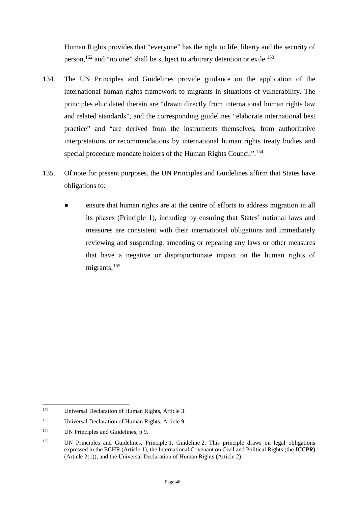Human Rights provides that "everyone" has the right to life, liberty and the security of person,[152](#page-47-0) and "no one" shall be subject to arbitrary detention or exile.[153](#page-47-1)

- 134. The UN Principles and Guidelines provide guidance on the application of the international human rights framework to migrants in situations of vulnerability. The principles elucidated therein are "drawn directly from international human rights law and related standards", and the corresponding guidelines "elaborate international best practice" and "are derived from the instruments themselves, from authoritative interpretations or recommendations by international human rights treaty bodies and special procedure mandate holders of the Human Rights Council".[154](#page-47-2)
- 135. Of note for present purposes, the UN Principles and Guidelines affirm that States have obligations to:
	- ensure that human rights are at the centre of efforts to address migration in all its phases (Principle 1), including by ensuring that States' national laws and measures are consistent with their international obligations and immediately reviewing and suspending, amending or repealing any laws or other measures that have a negative or disproportionate impact on the human rights of migrants;<sup>[155](#page-47-3)</sup>

<span id="page-47-0"></span><sup>152</sup> Universal Declaration of Human Rights, Article 3.

<span id="page-47-1"></span><sup>153</sup> Universal Declaration of Human Rights, Article 9.

<span id="page-47-2"></span><sup>154</sup> UN Principles and Guidelines, p 9.

<span id="page-47-3"></span><sup>155</sup> UN Principles and Guidelines, Principle 1, Guideline 2. This principle draws on legal obligations expressed in the ECHR (Article 1), the International Covenant on Civil and Political Rights (the *ICCPR*) (Article 2(1)), and the Universal Declaration of Human Rights (Article 2).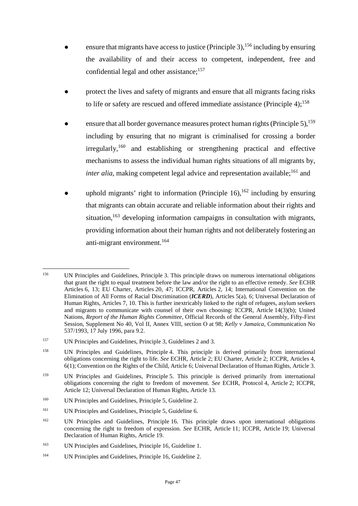- ensure that migrants have access to justice (Principle 3),  $156$  including by ensuring the availability of and their access to competent, independent, free and confidential legal and other assistance;<sup>[157](#page-48-1)</sup>
- **●** protect the lives and safety of migrants and ensure that all migrants facing risks to life or safety are rescued and offered immediate assistance (Principle  $4$ );<sup>[158](#page-48-2)</sup>
- ensure that all border governance measures protect human rights (Principle 5), <sup>[159](#page-48-3)</sup> including by ensuring that no migrant is criminalised for crossing a border  $irregularly, <sup>160</sup>$  $irregularly, <sup>160</sup>$  $irregularly, <sup>160</sup>$  and establishing or strengthening practical and effective mechanisms to assess the individual human rights situations of all migrants by, *inter alia*, making competent legal advice and representation available;<sup>[161](#page-48-5)</sup> and
- uphold migrants' right to information (Principle  $16$ ),  $162$  including by ensuring that migrants can obtain accurate and reliable information about their rights and situation,  $163$  developing information campaigns in consultation with migrants, providing information about their human rights and not deliberately fostering an anti-migrant environment.[164](#page-48-8)

<span id="page-48-0"></span><sup>156</sup> UN Principles and Guidelines, Principle 3. This principle draws on numerous international obligations that grant the right to equal treatment before the law and/or the right to an effective remedy. *See* ECHR Articles 6, 13; EU Charter, Articles 20, 47; ICCPR, Articles 2, 14; International Convention on the Elimination of All Forms of Racial Discrimination (*ICERD*), Articles 5(a), 6; Universal Declaration of Human Rights, Articles 7, 10. This is further inextricably linked to the right of refugees, asylum seekers and migrants to communicate with counsel of their own choosing: ICCPR, Article 14(3)(b); United Nations, *Report of the Human Rights Committee*, Official Records of the General Assembly, Fifty-First Session, Supplement No 40, Vol II, Annex VIII, section O at 98; *Kelly v Jamaica*, Communication No 537/1993, 17 July 1996, para 9.2.

<span id="page-48-1"></span><sup>157</sup> UN Principles and Guidelines, Principle 3, Guidelines 2 and 3.

<span id="page-48-2"></span><sup>158</sup> UN Principles and Guidelines, Principle 4. This principle is derived primarily from international obligations concerning the right to life. *See* ECHR, Article 2; EU Charter, Article 2; ICCPR, Articles 4, 6(1); Convention on the Rights of the Child, Article 6; Universal Declaration of Human Rights, Article 3.

<span id="page-48-3"></span><sup>159</sup> UN Principles and Guidelines, Principle 5. This principle is derived primarily from international obligations concerning the right to freedom of movement. *See* ECHR, Protocol 4, Article 2; ICCPR, Article 12; Universal Declaration of Human Rights, Article 13.

<span id="page-48-4"></span><sup>160</sup> UN Principles and Guidelines, Principle 5, Guideline 2.

<span id="page-48-5"></span><sup>161</sup> UN Principles and Guidelines, Principle 5, Guideline 6.

<span id="page-48-6"></span><sup>&</sup>lt;sup>162</sup> UN Principles and Guidelines, Principle 16. This principle draws upon international obligations concerning the right to freedom of expression. *See* ECHR, Article 11; ICCPR, Article 19; Universal Declaration of Human Rights, Article 19.

<span id="page-48-7"></span><sup>163</sup> UN Principles and Guidelines, Principle 16, Guideline 1.

<span id="page-48-8"></span><sup>164</sup> UN Principles and Guidelines, Principle 16, Guideline 2.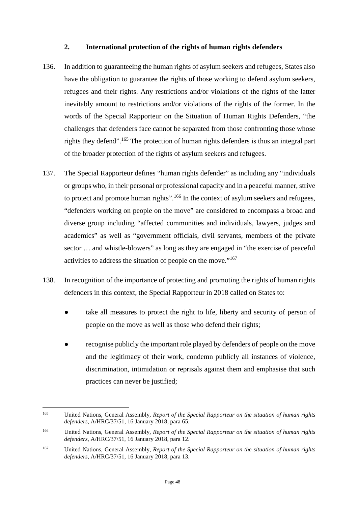#### <span id="page-49-0"></span>**2. International protection of the rights of human rights defenders**

- 136. In addition to guaranteeing the human rights of asylum seekers and refugees, States also have the obligation to guarantee the rights of those working to defend asylum seekers, refugees and their rights. Any restrictions and/or violations of the rights of the latter inevitably amount to restrictions and/or violations of the rights of the former. In the words of the Special Rapporteur on the Situation of Human Rights Defenders, "the challenges that defenders face cannot be separated from those confronting those whose rights they defend".[165](#page-49-1) The protection of human rights defenders is thus an integral part of the broader protection of the rights of asylum seekers and refugees.
- 137. The Special Rapporteur defines "human rights defender" as including any "individuals or groups who, in their personal or professional capacity and in a peaceful manner, strive to protect and promote human rights".<sup>[166](#page-49-2)</sup> In the context of asylum seekers and refugees, "defenders working on people on the move" are considered to encompass a broad and diverse group including "affected communities and individuals, lawyers, judges and academics" as well as "government officials, civil servants, members of the private sector … and whistle-blowers" as long as they are engaged in "the exercise of peaceful activities to address the situation of people on the move."[167](#page-49-3)
- 138. In recognition of the importance of protecting and promoting the rights of human rights defenders in this context, the Special Rapporteur in 2018 called on States to:
	- take all measures to protect the right to life, liberty and security of person of people on the move as well as those who defend their rights;
	- recognise publicly the important role played by defenders of people on the move and the legitimacy of their work, condemn publicly all instances of violence, discrimination, intimidation or reprisals against them and emphasise that such practices can never be justified;

<span id="page-49-1"></span><sup>165</sup> United Nations, General Assembly, *Report of the Special Rapporteur on the situation of human rights defenders*, A/HRC/37/51, 16 January 2018, para 65.

<span id="page-49-2"></span><sup>166</sup> United Nations, General Assembly, *Report of the Special Rapporteur on the situation of human rights defenders*, A/HRC/37/51, 16 January 2018, para 12.

<span id="page-49-3"></span><sup>167</sup> United Nations, General Assembly, *Report of the Special Rapporteur on the situation of human rights defenders*, A/HRC/37/51, 16 January 2018, para 13.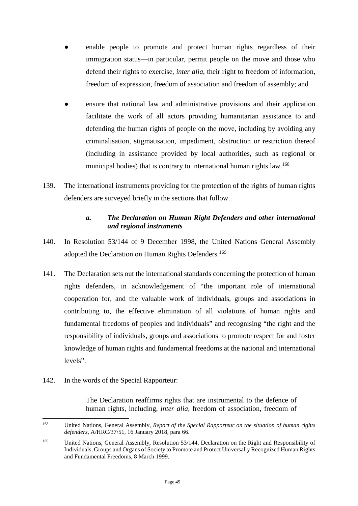- enable people to promote and protect human rights regardless of their immigration status—in particular, permit people on the move and those who defend their rights to exercise, *inter alia*, their right to freedom of information, freedom of expression, freedom of association and freedom of assembly; and
- **●** ensure that national law and administrative provisions and their application facilitate the work of all actors providing humanitarian assistance to and defending the human rights of people on the move, including by avoiding any criminalisation, stigmatisation, impediment, obstruction or restriction thereof (including in assistance provided by local authorities, such as regional or municipal bodies) that is contrary to international human rights law.<sup>[168](#page-50-1)</sup>
- 139. The international instruments providing for the protection of the rights of human rights defenders are surveyed briefly in the sections that follow.

### <span id="page-50-0"></span>*a. The Declaration on Human Right Defenders and other international and regional instruments*

- 140. In Resolution 53/144 of 9 December 1998, the United Nations General Assembly adopted the Declaration on Human Rights Defenders.<sup>[169](#page-50-2)</sup>
- 141. The Declaration sets out the international standards concerning the protection of human rights defenders, in acknowledgement of "the important role of international cooperation for, and the valuable work of individuals, groups and associations in contributing to, the effective elimination of all violations of human rights and fundamental freedoms of peoples and individuals" and recognising "the right and the responsibility of individuals, groups and associations to promote respect for and foster knowledge of human rights and fundamental freedoms at the national and international levels".
- 142. In the words of the Special Rapporteur:

The Declaration reaffirms rights that are instrumental to the defence of human rights, including, *inter alia*, freedom of association, freedom of

<span id="page-50-1"></span><sup>168</sup> United Nations, General Assembly, *Report of the Special Rapporteur on the situation of human rights defenders*, A/HRC/37/51, 16 January 2018, para 66.

<span id="page-50-2"></span><sup>&</sup>lt;sup>169</sup> United Nations, General Assembly, Resolution 53/144, Declaration on the Right and Responsibility of Individuals, Groups and Organs of Society to Promote and Protect Universally Recognized Human Rights and Fundamental Freedoms, 8 March 1999.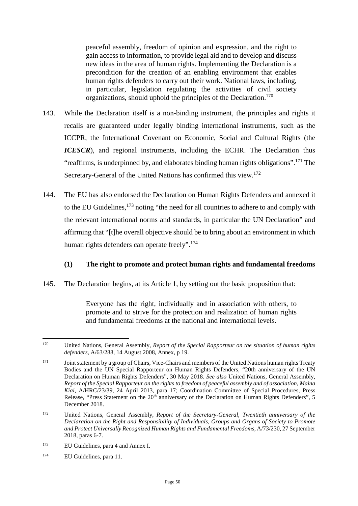peaceful assembly, freedom of opinion and expression, and the right to gain access to information, to provide legal aid and to develop and discuss new ideas in the area of human rights. Implementing the Declaration is a precondition for the creation of an enabling environment that enables human rights defenders to carry out their work. National laws, including, in particular, legislation regulating the activities of civil society organizations, should uphold the principles of the Declaration.[170](#page-51-0)

- 143. While the Declaration itself is a non-binding instrument, the principles and rights it recalls are guaranteed under legally binding international instruments, such as the ICCPR, the International Covenant on Economic, Social and Cultural Rights (the *ICESCR*), and regional instruments, including the ECHR. The Declaration thus "reaffirms, is underpinned by, and elaborates binding human rights obligations".[171](#page-51-1) The Secretary-General of the United Nations has confirmed this view.[172](#page-51-2)
- 144. The EU has also endorsed the Declaration on Human Rights Defenders and annexed it to the EU Guidelines.<sup>[173](#page-51-3)</sup> noting "the need for all countries to adhere to and comply with the relevant international norms and standards, in particular the UN Declaration" and affirming that "[t]he overall objective should be to bring about an environment in which human rights defenders can operate freely".<sup>[174](#page-51-4)</sup>

### **(1) The right to promote and protect human rights and fundamental freedoms**

145. The Declaration begins, at its Article 1, by setting out the basic proposition that:

Everyone has the right, individually and in association with others, to promote and to strive for the protection and realization of human rights and fundamental freedoms at the national and international levels.

- <span id="page-51-3"></span><sup>173</sup> EU Guidelines, para 4 and Annex I.
- <span id="page-51-4"></span><sup>174</sup> EU Guidelines, para 11.

<span id="page-51-0"></span><sup>170</sup> United Nations, General Assembly, *Report of the Special Rapporteur on the situation of human rights defenders*, A/63/288, 14 August 2008, Annex, p 19.

<span id="page-51-1"></span><sup>&</sup>lt;sup>171</sup> Joint statement by a group of Chairs, Vice-Chairs and members of the United Nations human rights Treaty Bodies and the UN Special Rapporteur on Human Rights Defenders, "20th anniversary of the UN Declaration on Human Rights Defenders", 30 May 2018. *See also* United Nations, General Assembly, *Report of the Special Rapporteur on the rights to freedom of peaceful assembly and of association, Maina Kiai*, A/HRC/23/39, 24 April 2013, para 17; Coordination Committee of Special Procedures, Press Release, "Press Statement on the 20th anniversary of the Declaration on Human Rights Defenders", 5 December 2018.

<span id="page-51-2"></span><sup>172</sup> United Nations, General Assembly, *Report of the Secretary-General, Twentieth anniversary of the Declaration on the Right and Responsibility of Individuals, Groups and Organs of Society to Promote and Protect Universally Recognized Human Rights and Fundamental Freedoms*, A/73/230, 27 September 2018, paras 6-7.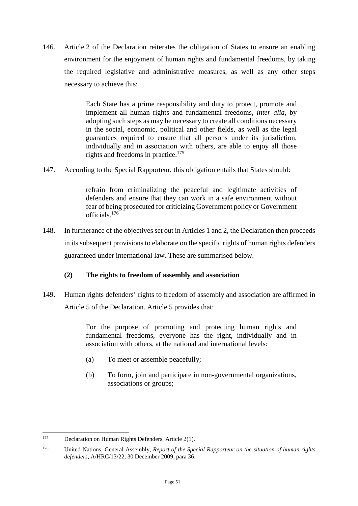146. Article 2 of the Declaration reiterates the obligation of States to ensure an enabling environment for the enjoyment of human rights and fundamental freedoms, by taking the required legislative and administrative measures, as well as any other steps necessary to achieve this:

> Each State has a prime responsibility and duty to protect, promote and implement all human rights and fundamental freedoms, *inter alia*, by adopting such steps as may be necessary to create all conditions necessary in the social, economic, political and other fields, as well as the legal guarantees required to ensure that all persons under its jurisdiction, individually and in association with others, are able to enjoy all those rights and freedoms in practice.<sup>[175](#page-52-0)</sup>

147. According to the Special Rapporteur, this obligation entails that States should:

refrain from criminalizing the peaceful and legitimate activities of defenders and ensure that they can work in a safe environment without fear of being prosecuted for criticizing Government policy or Government officials.[176](#page-52-1)

148. In furtherance of the objectives set out in Articles 1 and 2, the Declaration then proceeds in its subsequent provisions to elaborate on the specific rights of human rights defenders guaranteed under international law. These are summarised below.

## **(2) The rights to freedom of assembly and association**

149. Human rights defenders' rights to freedom of assembly and association are affirmed in Article 5 of the Declaration. Article 5 provides that:

> For the purpose of promoting and protecting human rights and fundamental freedoms, everyone has the right, individually and in association with others, at the national and international levels:

- (a) To meet or assemble peacefully;
- (b) To form, join and participate in non-governmental organizations, associations or groups;

<span id="page-52-0"></span><sup>175</sup> Declaration on Human Rights Defenders, Article 2(1).

<span id="page-52-1"></span><sup>176</sup> United Nations, General Assembly, *Report of the Special Rapporteur on the situation of human rights defenders,* A/HRC/13/22, 30 December 2009, para 36.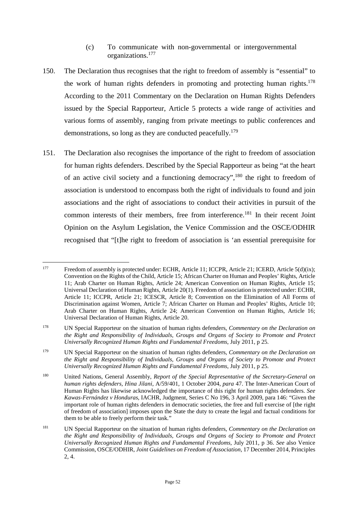#### (c) To communicate with non-governmental or intergovernmental organizations.[177](#page-53-0)

- 150. The Declaration thus recognises that the right to freedom of assembly is "essential" to the work of human rights defenders in promoting and protecting human rights.<sup>[178](#page-53-1)</sup> According to the 2011 Commentary on the Declaration on Human Rights Defenders issued by the Special Rapporteur, Article 5 protects a wide range of activities and various forms of assembly, ranging from private meetings to public conferences and demonstrations, so long as they are conducted peacefully.<sup>[179](#page-53-2)</sup>
- 151. The Declaration also recognises the importance of the right to freedom of association for human rights defenders. Described by the Special Rapporteur as being "at the heart of an active civil society and a functioning democracy",[180](#page-53-3) the right to freedom of association is understood to encompass both the right of individuals to found and join associations and the right of associations to conduct their activities in pursuit of the common interests of their members, free from interference.<sup>[181](#page-53-4)</sup> In their recent Joint Opinion on the Asylum Legislation, the Venice Commission and the OSCE/ODHIR recognised that "[t]he right to freedom of association is 'an essential prerequisite for

<span id="page-53-0"></span><sup>&</sup>lt;sup>177</sup> Freedom of assembly is protected under: ECHR, Article 11; ICCPR, Article 21; ICERD, Article 5(d)(ix); Convention on the Rights of the Child, Article 15; African Charter on Human and Peoples' Rights, Article 11; Arab Charter on Human Rights, Article 24; American Convention on Human Rights, Article 15; Universal Declaration of Human Rights, Article 20(1). Freedom of association is protected under: ECHR, Article 11; ICCPR, Article 21; ICESCR, Article 8; Convention on the Elimination of All Forms of Discrimination against Women, Article 7; African Charter on Human and Peoples' Rights, Article 10; Arab Charter on Human Rights, Article 24; American Convention on Human Rights, Article 16; Universal Declaration of Human Rights, Article 20.

<span id="page-53-1"></span><sup>178</sup> UN Special Rapporteur on the situation of human rights defenders, *Commentary on the Declaration on the Right and Responsibility of Individuals, Groups and Organs of Society to Promote and Protect Universally Recognized Human Rights and Fundamental Freedoms*, July 2011, p 25.

<span id="page-53-2"></span><sup>179</sup> UN Special Rapporteur on the situation of human rights defenders, *Commentary on the Declaration on the Right and Responsibility of Individuals, Groups and Organs of Society to Promote and Protect Universally Recognized Human Rights and Fundamental Freedoms*, July 2011, p 25.

<span id="page-53-3"></span><sup>180</sup> United Nations, General Assembly, *Report of the Special Representative of the Secretary-General on human rights defenders, Hina Jilani*, A/59/401, 1 October 2004, *para* 47. The Inter-American Court of Human Rights has likewise acknowledged the importance of this right for human rights defenders. *See Kawas-Fernández v Honduras*, IACHR, Judgment, Series C No 196, 3 April 2009, para 146: "Given the important role of human rights defenders in democratic societies, the free and full exercise of [the right of freedom of association] imposes upon the State the duty to create the legal and factual conditions for them to be able to freely perform their task*.*"

<span id="page-53-4"></span><sup>181</sup> UN Special Rapporteur on the situation of human rights defenders, *Commentary on the Declaration on the Right and Responsibility of Individuals, Groups and Organs of Society to Promote and Protect Universally Recognized Human Rights and Fundamental Freedoms*, July 2011, p 36. *See* also Venice Commission, OSCE/ODHIR, *Joint Guidelines on Freedom of Association*, 17 December 2014, Principles 2, 4.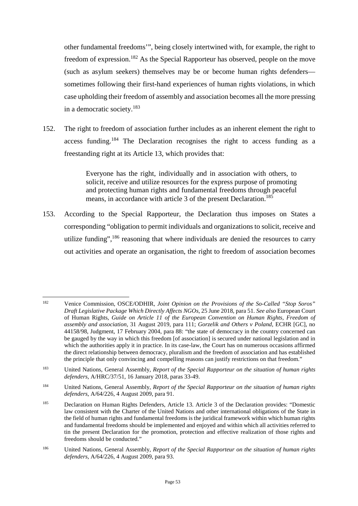other fundamental freedoms'", being closely intertwined with, for example, the right to freedom of expression.<sup>[182](#page-54-0)</sup> As the Special Rapporteur has observed, people on the move (such as asylum seekers) themselves may be or become human rights defenders sometimes following their first-hand experiences of human rights violations, in which case upholding their freedom of assembly and association becomes all the more pressing in a democratic society.[183](#page-54-1)

152. The right to freedom of association further includes as an inherent element the right to access funding.[184](#page-54-2) The Declaration recognises the right to access funding as a freestanding right at its Article 13, which provides that:

> Everyone has the right, individually and in association with others, to solicit, receive and utilize resources for the express purpose of promoting and protecting human rights and fundamental freedoms through peaceful means, in accordance with article 3 of the present Declaration.<sup>[185](#page-54-3)</sup>

153. According to the Special Rapporteur, the Declaration thus imposes on States a corresponding "obligation to permit individuals and organizations to solicit, receive and utilize funding",<sup>[186](#page-54-4)</sup> reasoning that where individuals are denied the resources to carry out activities and operate an organisation, the right to freedom of association becomes

<span id="page-54-0"></span><sup>182</sup> Venice Commission, OSCE/ODHIR, *Joint Opinion on the Provisions of the So-Called "Stop Soros" Draft Legislative Package Which Directly Affects NGOs*, 25 June 2018, para 51. *See also* European Court of Human Rights, *Guide on Article 11 of the European Convention on Human Rights, Freedom of assembly and association*, 31 August 2019, para 111; *Gorzelik and Others v Poland*, ECHR [GC], no 44158/98, Judgment, 17 February 2004, para 88: "the state of democracy in the country concerned can be gauged by the way in which this freedom [of association] is secured under national legislation and in which the authorities apply it in practice. In its case-law, the Court has on numerous occasions affirmed the direct relationship between democracy, pluralism and the freedom of association and has established the principle that only convincing and compelling reasons can justify restrictions on that freedom."

<span id="page-54-1"></span><sup>183</sup> United Nations, General Assembly, *Report of the Special Rapporteur on the situation of human rights defenders*, A/HRC/37/51, 16 January 2018, paras 33-49.

<span id="page-54-2"></span><sup>184</sup> United Nations, General Assembly, *Report of the Special Rapporteur on the situation of human rights defenders*, A/64/226, 4 August 2009, para 91.

<span id="page-54-3"></span><sup>185</sup> Declaration on Human Rights Defenders, Article 13. Article 3 of the Declaration provides: "Domestic law consistent with the Charter of the United Nations and other international obligations of the State in the field of human rights and fundamental freedoms is the juridical framework within which human rights and fundamental freedoms should be implemented and enjoyed and within which all activities referred to tin the present Declaration for the promotion, protection and effective realization of those rights and freedoms should be conducted."

<span id="page-54-4"></span><sup>186</sup> United Nations, General Assembly, *Report of the Special Rapporteur on the situation of human rights defenders*, A/64/226, 4 August 2009, para 93.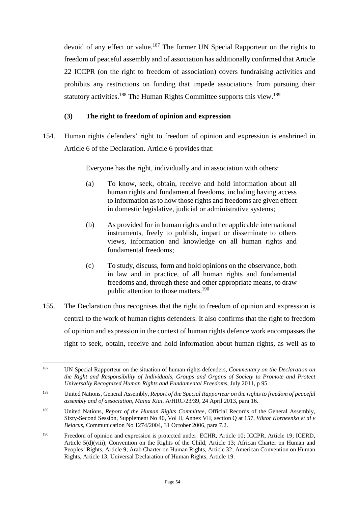devoid of any effect or value.<sup>[187](#page-55-0)</sup> The former UN Special Rapporteur on the rights to freedom of peaceful assembly and of association has additionally confirmed that Article 22 ICCPR (on the right to freedom of association) covers fundraising activities and prohibits any restrictions on funding that impede associations from pursuing their statutory activities.<sup>[188](#page-55-1)</sup> The Human Rights Committee supports this view.<sup>[189](#page-55-2)</sup>

## **(3) The right to freedom of opinion and expression**

154. Human rights defenders' right to freedom of opinion and expression is enshrined in Article 6 of the Declaration. Article 6 provides that:

Everyone has the right, individually and in association with others:

- (a) To know, seek, obtain, receive and hold information about all human rights and fundamental freedoms, including having access to information as to how those rights and freedoms are given effect in domestic legislative, judicial or administrative systems;
- (b) As provided for in human rights and other applicable international instruments, freely to publish, impart or disseminate to others views, information and knowledge on all human rights and fundamental freedoms;
- (c) To study, discuss, form and hold opinions on the observance, both in law and in practice, of all human rights and fundamental freedoms and, through these and other appropriate means, to draw public attention to those matters.<sup>[190](#page-55-3)</sup>
- 155. The Declaration thus recognises that the right to freedom of opinion and expression is central to the work of human rights defenders. It also confirms that the right to freedom of opinion and expression in the context of human rights defence work encompasses the right to seek, obtain, receive and hold information about human rights, as well as to

<span id="page-55-0"></span><sup>187</sup> UN Special Rapporteur on the situation of human rights defenders, *Commentary on the Declaration on the Right and Responsibility of Individuals, Groups and Organs of Society to Promote and Protect Universally Recognized Human Rights and Fundamental Freedoms*, July 2011, p 95.

<span id="page-55-1"></span><sup>188</sup> United Nations, General Assembly, *Report of the Special Rapporteur on the rights to freedom of peaceful assembly and of association, Maina Kiai*, A/HRC/23/39, 24 April 2013, para 16.

<span id="page-55-2"></span><sup>189</sup> United Nations, *Report of the Human Rights Committee*, Official Records of the General Assembly, Sixty-Second Session, Supplement No 40, Vol II, Annex VII, section Q at 157, *Viktor Korneenko et al v Belarus*, Communication No 1274/2004, 31 October 2006, para 7.2.

<span id="page-55-3"></span><sup>190</sup> Freedom of opinion and expression is protected under: ECHR, Article 10; ICCPR, Article 19; ICERD, Article 5(d)(viii); Convention on the Rights of the Child, Article 13; African Charter on Human and Peoples' Rights, Article 9; Arab Charter on Human Rights, Article 32; American Convention on Human Rights, Article 13; Universal Declaration of Human Rights, Article 19.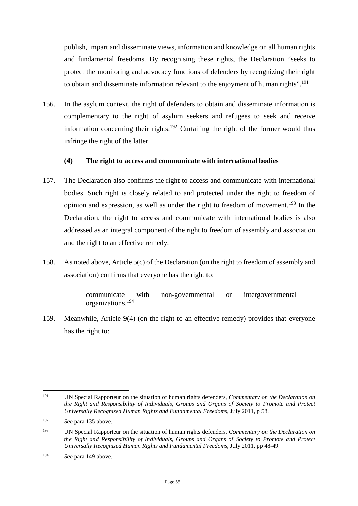publish, impart and disseminate views, information and knowledge on all human rights and fundamental freedoms. By recognising these rights, the Declaration "seeks to protect the monitoring and advocacy functions of defenders by recognizing their right to obtain and disseminate information relevant to the enjoyment of human rights".<sup>[191](#page-56-0)</sup>

156. In the asylum context, the right of defenders to obtain and disseminate information is complementary to the right of asylum seekers and refugees to seek and receive information concerning their rights.<sup>[192](#page-56-1)</sup> Curtailing the right of the former would thus infringe the right of the latter.

### **(4) The right to access and communicate with international bodies**

- 157. The Declaration also confirms the right to access and communicate with international bodies. Such right is closely related to and protected under the right to freedom of opinion and expression, as well as under the right to freedom of movement.<sup>[193](#page-56-2)</sup> In the Declaration, the right to access and communicate with international bodies is also addressed as an integral component of the right to freedom of assembly and association and the right to an effective remedy.
- 158. As noted above, Article 5(c) of the Declaration (on the right to freedom of assembly and association) confirms that everyone has the right to:

communicate with non-governmental or intergovernmental organizations.[194](#page-56-3)

159. Meanwhile, Article 9(4) (on the right to an effective remedy) provides that everyone has the right to:

<span id="page-56-0"></span><sup>191</sup> UN Special Rapporteur on the situation of human rights defenders, *Commentary on the Declaration on the Right and Responsibility of Individuals, Groups and Organs of Society to Promote and Protect Universally Recognized Human Rights and Fundamental Freedoms*, July 2011, p 58.

<span id="page-56-1"></span><sup>192</sup> *See* para 135 above.

<span id="page-56-2"></span><sup>193</sup> UN Special Rapporteur on the situation of human rights defenders, *Commentary on the Declaration on the Right and Responsibility of Individuals, Groups and Organs of Society to Promote and Protect Universally Recognized Human Rights and Fundamental Freedoms*, July 2011, pp 48-49.

<span id="page-56-3"></span><sup>194</sup> *See* para 149 above.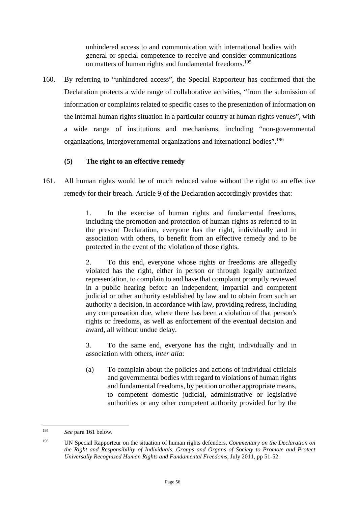unhindered access to and communication with international bodies with general or special competence to receive and consider communications on matters of human rights and fundamental freedoms.<sup>[195](#page-57-0)</sup>

160. By referring to "unhindered access", the Special Rapporteur has confirmed that the Declaration protects a wide range of collaborative activities, "from the submission of information or complaints related to specific cases to the presentation of information on the internal human rights situation in a particular country at human rights venues", with a wide range of institutions and mechanisms, including "non-governmental organizations, intergovernmental organizations and international bodies".[196](#page-57-1)

## **(5) The right to an effective remedy**

161. All human rights would be of much reduced value without the right to an effective remedy for their breach. Article 9 of the Declaration accordingly provides that:

> 1. In the exercise of human rights and fundamental freedoms, including the promotion and protection of human rights as referred to in the present Declaration, everyone has the right, individually and in association with others, to benefit from an effective remedy and to be protected in the event of the violation of those rights.

> 2. To this end, everyone whose rights or freedoms are allegedly violated has the right, either in person or through legally authorized representation, to complain to and have that complaint promptly reviewed in a public hearing before an independent, impartial and competent judicial or other authority established by law and to obtain from such an authority a decision, in accordance with law, providing redress, including any compensation due, where there has been a violation of that person's rights or freedoms, as well as enforcement of the eventual decision and award, all without undue delay.

> 3. To the same end, everyone has the right, individually and in association with others, *inter alia*:

> (a) To complain about the policies and actions of individual officials and governmental bodies with regard to violations of human rights and fundamental freedoms, by petition or other appropriate means, to competent domestic judicial, administrative or legislative authorities or any other competent authority provided for by the

<span id="page-57-0"></span><sup>195</sup> *See* para 161 below.

<span id="page-57-1"></span><sup>196</sup> UN Special Rapporteur on the situation of human rights defenders, *Commentary on the Declaration on the Right and Responsibility of Individuals, Groups and Organs of Society to Promote and Protect Universally Recognized Human Rights and Fundamental Freedoms*, July 2011, pp 51-52.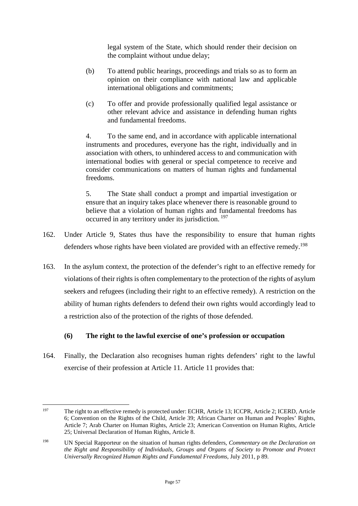legal system of the State, which should render their decision on the complaint without undue delay;

- (b) To attend public hearings, proceedings and trials so as to form an opinion on their compliance with national law and applicable international obligations and commitments;
- (c) To offer and provide professionally qualified legal assistance or other relevant advice and assistance in defending human rights and fundamental freedoms.

4. To the same end, and in accordance with applicable international instruments and procedures, everyone has the right, individually and in association with others, to unhindered access to and communication with international bodies with general or special competence to receive and consider communications on matters of human rights and fundamental freedoms.

5. The State shall conduct a prompt and impartial investigation or ensure that an inquiry takes place whenever there is reasonable ground to believe that a violation of human rights and fundamental freedoms has occurred in any territory under its jurisdiction. [197](#page-58-0)

- 162. Under Article 9, States thus have the responsibility to ensure that human rights defenders whose rights have been violated are provided with an effective remedy.<sup>[198](#page-58-1)</sup>
- 163. In the asylum context, the protection of the defender's right to an effective remedy for violations of their rights is often complementary to the protection of the rights of asylum seekers and refugees (including their right to an effective remedy). A restriction on the ability of human rights defenders to defend their own rights would accordingly lead to a restriction also of the protection of the rights of those defended.

### **(6) The right to the lawful exercise of one's profession or occupation**

164. Finally, the Declaration also recognises human rights defenders' right to the lawful exercise of their profession at Article 11. Article 11 provides that:

<span id="page-58-0"></span><sup>197</sup> The right to an effective remedy is protected under: ECHR, Article 13; ICCPR, Article 2; ICERD, Article 6; Convention on the Rights of the Child, Article 39; African Charter on Human and Peoples' Rights, Article 7; Arab Charter on Human Rights, Article 23; American Convention on Human Rights, Article 25; Universal Declaration of Human Rights, Article 8.

<span id="page-58-1"></span><sup>198</sup> UN Special Rapporteur on the situation of human rights defenders, *Commentary on the Declaration on the Right and Responsibility of Individuals, Groups and Organs of Society to Promote and Protect Universally Recognized Human Rights and Fundamental Freedoms*, July 2011, p 89.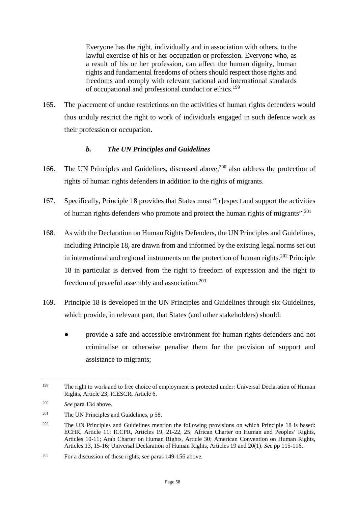Everyone has the right, individually and in association with others, to the lawful exercise of his or her occupation or profession. Everyone who, as a result of his or her profession, can affect the human dignity, human rights and fundamental freedoms of others should respect those rights and freedoms and comply with relevant national and international standards of occupational and professional conduct or ethics.[199](#page-59-1)

165. The placement of undue restrictions on the activities of human rights defenders would thus unduly restrict the right to work of individuals engaged in such defence work as their profession or occupation.

## <span id="page-59-0"></span>*b. The UN Principles and Guidelines*

- 166. The UN Principles and Guidelines, discussed above,<sup>[200](#page-59-2)</sup> also address the protection of rights of human rights defenders in addition to the rights of migrants.
- 167. Specifically, Principle 18 provides that States must "[r]espect and support the activities of human rights defenders who promote and protect the human rights of migrants".[201](#page-59-3)
- 168. As with the Declaration on Human Rights Defenders, the UN Principles and Guidelines, including Principle 18, are drawn from and informed by the existing legal norms set out in international and regional instruments on the protection of human rights. $202$  Principle 18 in particular is derived from the right to freedom of expression and the right to freedom of peaceful assembly and association.<sup>[203](#page-59-5)</sup>
- 169. Principle 18 is developed in the UN Principles and Guidelines through six Guidelines, which provide, in relevant part, that States (and other stakeholders) should:
	- provide a safe and accessible environment for human rights defenders and not criminalise or otherwise penalise them for the provision of support and assistance to migrants;

<span id="page-59-1"></span><sup>&</sup>lt;sup>199</sup> The right to work and to free choice of employment is protected under: Universal Declaration of Human Rights, Article 23; ICESCR, Article 6.

<span id="page-59-2"></span><sup>200</sup> *See* para 134 above.

<span id="page-59-3"></span><sup>&</sup>lt;sup>201</sup> The UN Principles and Guidelines,  $p$  58.

<span id="page-59-4"></span><sup>&</sup>lt;sup>202</sup> The UN Principles and Guidelines mention the following provisions on which Principle 18 is based: ECHR, Article 11; ICCPR, Articles 19, 21-22, 25; African Charter on Human and Peoples' Rights, Articles 10-11; Arab Charter on Human Rights, Article 30; American Convention on Human Rights, Articles 13, 15-16; Universal Declaration of Human Rights, Articles 19 and 20(1). *See* pp 115-116.

<span id="page-59-5"></span><sup>203</sup> For a discussion of these rights, *see* paras 149-156 above.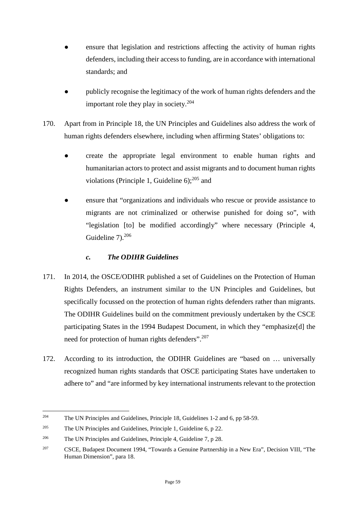- ensure that legislation and restrictions affecting the activity of human rights defenders, including their access to funding, are in accordance with international standards; and
- **●** publicly recognise the legitimacy of the work of human rights defenders and the important role they play in society.<sup>[204](#page-60-1)</sup>
- 170. Apart from in Principle 18, the UN Principles and Guidelines also address the work of human rights defenders elsewhere, including when affirming States' obligations to:
	- **●** create the appropriate legal environment to enable human rights and humanitarian actors to protect and assist migrants and to document human rights violations (Principle 1, Guideline  $6$ );<sup>[205](#page-60-2)</sup> and
	- ensure that "organizations and individuals who rescue or provide assistance to migrants are not criminalized or otherwise punished for doing so", with "legislation [to] be modified accordingly" where necessary (Principle 4, Guideline  $7<sup>206</sup>$  $7<sup>206</sup>$  $7<sup>206</sup>$

# <span id="page-60-0"></span>*c. The ODIHR Guidelines*

- 171. In 2014, the OSCE/ODIHR published a set of Guidelines on the Protection of Human Rights Defenders, an instrument similar to the UN Principles and Guidelines, but specifically focussed on the protection of human rights defenders rather than migrants. The ODIHR Guidelines build on the commitment previously undertaken by the CSCE participating States in the 1994 Budapest Document, in which they "emphasize[d] the need for protection of human rights defenders".<sup>[207](#page-60-4)</sup>
- 172. According to its introduction, the ODIHR Guidelines are "based on … universally recognized human rights standards that OSCE participating States have undertaken to adhere to" and "are informed by key international instruments relevant to the protection

<span id="page-60-1"></span><sup>204</sup> The UN Principles and Guidelines, Principle 18, Guidelines 1-2 and 6, pp 58-59.

<span id="page-60-2"></span><sup>&</sup>lt;sup>205</sup> The UN Principles and Guidelines, Principle 1, Guideline 6, p 22.

<span id="page-60-3"></span><sup>&</sup>lt;sup>206</sup> The UN Principles and Guidelines, Principle 4, Guideline 7, p 28.

<span id="page-60-4"></span><sup>&</sup>lt;sup>207</sup> CSCE, Budapest Document 1994, "Towards a Genuine Partnership in a New Era", Decision VIII, "The Human Dimension", para 18.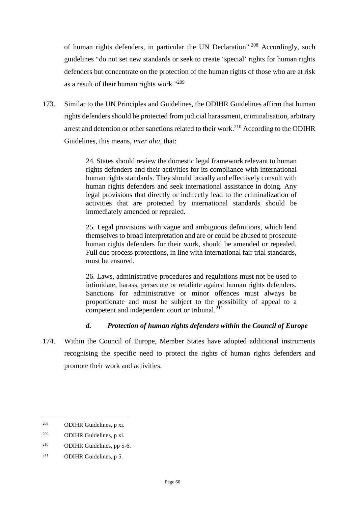of human rights defenders, in particular the UN Declaration".<sup>[208](#page-61-1)</sup> Accordingly, such guidelines "do not set new standards or seek to create 'special' rights for human rights defenders but concentrate on the protection of the human rights of those who are at risk as a result of their human rights work."[209](#page-61-2)

173. Similar to the UN Principles and Guidelines, the ODIHR Guidelines affirm that human rights defenders should be protected from judicial harassment, criminalisation, arbitrary arrest and detention or other sanctions related to their work.<sup>[210](#page-61-3)</sup> According to the ODIHR Guidelines, this means, *inter alia*, that:

> 24. States should review the domestic legal framework relevant to human rights defenders and their activities for its compliance with international human rights standards. They should broadly and effectively consult with human rights defenders and seek international assistance in doing. Any legal provisions that directly or indirectly lead to the criminalization of activities that are protected by international standards should be immediately amended or repealed.

> 25. Legal provisions with vague and ambiguous definitions, which lend themselves to broad interpretation and are or could be abused to prosecute human rights defenders for their work, should be amended or repealed. Full due process protections, in line with international fair trial standards, must be ensured.

> 26. Laws, administrative procedures and regulations must not be used to intimidate, harass, persecute or retaliate against human rights defenders. Sanctions for administrative or minor offences must always be proportionate and must be subject to the possibility of appeal to a competent and independent court or tribunal.<sup>[211](#page-61-4)</sup>

## <span id="page-61-0"></span>*d. Protection of human rights defenders within the Council of Europe*

174. Within the Council of Europe, Member States have adopted additional instruments recognising the specific need to protect the rights of human rights defenders and promote their work and activities.

<span id="page-61-1"></span><sup>208</sup> ODIHR Guidelines, p xi.

<span id="page-61-2"></span><sup>209</sup> ODIHR Guidelines, p xi.

<span id="page-61-3"></span><sup>210</sup> ODIHR Guidelines, pp 5-6.

<span id="page-61-4"></span><sup>211</sup> ODIHR Guidelines, p 5.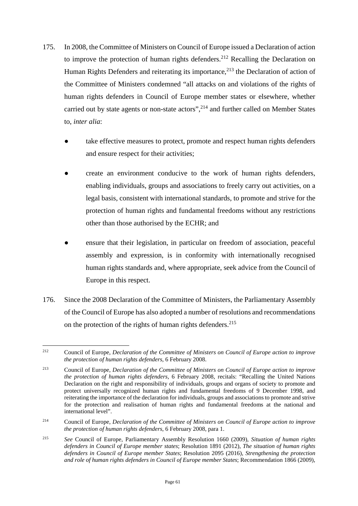- 175. In 2008, the Committee of Ministers on Council of Europe issued a Declaration of action to improve the protection of human rights defenders.<sup>[212](#page-62-0)</sup> Recalling the Declaration on Human Rights Defenders and reiterating its importance,  $2^{13}$  the Declaration of action of the Committee of Ministers condemned "all attacks on and violations of the rights of human rights defenders in Council of Europe member states or elsewhere, whether carried out by state agents or non-state actors",  $2^{14}$  and further called on Member States to, *inter alia*:
	- take effective measures to protect, promote and respect human rights defenders and ensure respect for their activities;
	- create an environment conducive to the work of human rights defenders, enabling individuals, groups and associations to freely carry out activities, on a legal basis, consistent with international standards, to promote and strive for the protection of human rights and fundamental freedoms without any restrictions other than those authorised by the ECHR; and
	- ensure that their legislation, in particular on freedom of association, peaceful assembly and expression, is in conformity with internationally recognised human rights standards and, where appropriate, seek advice from the Council of Europe in this respect.
- 176. Since the 2008 Declaration of the Committee of Ministers, the Parliamentary Assembly of the Council of Europe has also adopted a number of resolutions and recommendations on the protection of the rights of human rights defenders.<sup>[215](#page-62-3)</sup>

<span id="page-62-0"></span><sup>212</sup> Council of Europe, *Declaration of the Committee of Ministers on Council of Europe action to improve the protection of human rights defenders*, 6 February 2008.

<span id="page-62-1"></span><sup>213</sup> Council of Europe, *Declaration of the Committee of Ministers on Council of Europe action to improve the protection of human rights defenders*, 6 February 2008, recitals: "Recalling the United Nations Declaration on the right and responsibility of individuals, groups and organs of society to promote and protect universally recognized human rights and fundamental freedoms of 9 December 1998, and reiterating the importance of the declaration for individuals, groups and associations to promote and strive for the protection and realisation of human rights and fundamental freedoms at the national and international level".

<span id="page-62-2"></span><sup>214</sup> Council of Europe, *Declaration of the Committee of Ministers on Council of Europe action to improve the protection of human rights defenders*, 6 February 2008, para 1.

<span id="page-62-3"></span><sup>215</sup> *See* Council of Europe, Parliamentary Assembly Resolution 1660 (2009), *Situation of human rights defenders in Council of Europe member states*; Resolution 1891 (2012), *The situation of human rights defenders in Council of Europe member States*; Resolution 2095 (2016), *Strengthening the protection and role of human rights defenders in Council of Europe member States*; Recommendation 1866 (2009),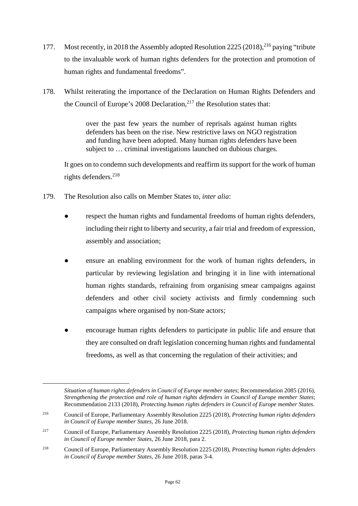- 177. Most recently, in 2018 the Assembly adopted Resolution 2225 (2018), <sup>[216](#page-63-0)</sup> paying "tribute to the invaluable work of human rights defenders for the protection and promotion of human rights and fundamental freedoms".
- 178. Whilst reiterating the importance of the Declaration on Human Rights Defenders and the Council of Europe's 2008 Declaration, $2^{17}$  the Resolution states that:

over the past few years the number of reprisals against human rights defenders has been on the rise. New restrictive laws on NGO registration and funding have been adopted. Many human rights defenders have been subject to … criminal investigations launched on dubious charges.

It goes on to condemn such developments and reaffirm its support for the work of human rights defenders.<sup>[218](#page-63-2)</sup>

- 179. The Resolution also calls on Member States to, *inter alia*:
	- respect the human rights and fundamental freedoms of human rights defenders, including their right to liberty and security, a fair trial and freedom of expression, assembly and association;
	- ensure an enabling environment for the work of human rights defenders, in particular by reviewing legislation and bringing it in line with international human rights standards, refraining from organising smear campaigns against defenders and other civil society activists and firmly condemning such campaigns where organised by non-State actors;
	- **●** encourage human rights defenders to participate in public life and ensure that they are consulted on draft legislation concerning human rights and fundamental freedoms, as well as that concerning the regulation of their activities; and

*Situation of human rights defenders in Council of Europe member states*; Recommendation 2085 (2016), *Strengthening the protection and role of human rights defenders in Council of Europe member States*; Recommendation 2133 (2018), *Protecting human rights defenders in Council of Europe member States*.

<span id="page-63-0"></span><sup>216</sup> Council of Europe, Parliamentary Assembly Resolution 2225 (2018), *Protecting human rights defenders in Council of Europe member States,* 26 June 2018.

<span id="page-63-1"></span><sup>217</sup> Council of Europe, Parliamentary Assembly Resolution 2225 (2018), *Protecting human rights defenders in Council of Europe member States*, 26 June 2018, para 2.

<span id="page-63-2"></span><sup>218</sup> Council of Europe, Parliamentary Assembly Resolution 2225 (2018), *Protecting human rights defenders in Council of Europe member States*, 26 June 2018, paras 3-4.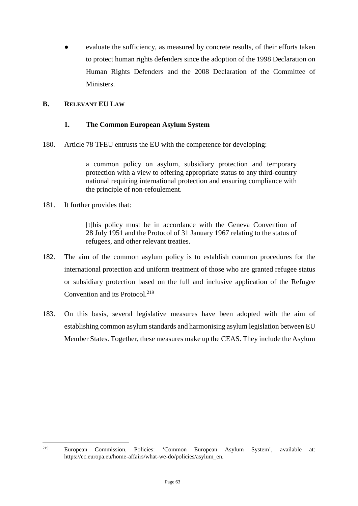evaluate the sufficiency, as measured by concrete results, of their efforts taken to protect human rights defenders since the adoption of the 1998 Declaration on Human Rights Defenders and the 2008 Declaration of the Committee of Ministers.

### <span id="page-64-0"></span>**B. RELEVANT EU LAW**

### <span id="page-64-1"></span>**1. The Common European Asylum System**

180. Article 78 TFEU entrusts the EU with the competence for developing:

a common policy on asylum, subsidiary protection and temporary protection with a view to offering appropriate status to any third-country national requiring international protection and ensuring compliance with the principle of non-refoulement.

181. It further provides that:

[t]his policy must be in accordance with the Geneva Convention of 28 July 1951 and the Protocol of 31 January 1967 relating to the status of refugees, and other relevant treaties.

- 182. The aim of the common asylum policy is to establish common procedures for the international protection and uniform treatment of those who are granted refugee status or subsidiary protection based on the full and inclusive application of the Refugee Convention and its Protocol.<sup>[219](#page-64-2)</sup>
- 183. On this basis, several legislative measures have been adopted with the aim of establishing common asylum standards and harmonising asylum legislation between EU Member States. Together, these measures make up the CEAS. They include the Asylum

<span id="page-64-2"></span><sup>219</sup> European Commission, Policies: 'Common European Asylum System', available at: https://ec.europa.eu/home-affairs/what-we-do/policies/asylum\_en.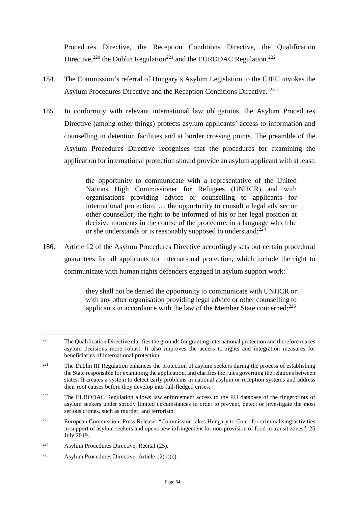Procedures Directive, the Reception Conditions Directive, the Qualification Directive,<sup>[220](#page-65-0)</sup> the Dublin Regulation<sup>[221](#page-65-1)</sup> and the EURODAC Regulation.<sup>[222](#page-65-2)</sup>

- 184. The Commission's referral of Hungary's Asylum Legislation to the CJEU invokes the Asylum Procedures Directive and the Reception Conditions Directive.<sup>[223](#page-65-3)</sup>
- 185. In conformity with relevant international law obligations, the Asylum Procedures Directive (among other things) protects asylum applicants' access to information and counselling in detention facilities and at border crossing points. The preamble of the Asylum Procedures Directive recognises that the procedures for examining the application for international protection should provide an asylum applicant with at least:

the opportunity to communicate with a representative of the United Nations High Commissioner for Refugees (UNHCR) and with organisations providing advice or counselling to applicants for international protection; … the opportunity to consult a legal adviser or other counsellor; the right to be informed of his or her legal position at decisive moments in the course of the procedure, in a language which he or she understands or is reasonably supposed to understand; $^{224}$  $^{224}$  $^{224}$ 

186. Article 12 of the Asylum Procedures Directive accordingly sets out certain procedural guarantees for all applicants for international protection, which include the right to communicate with human rights defenders engaged in asylum support work:

> they shall not be denied the opportunity to communicate with UNHCR or with any other organisation providing legal advice or other counselling to applicants in accordance with the law of the Member State concerned; $225$

<span id="page-65-0"></span><sup>&</sup>lt;sup>220</sup> The Qualification Directive clarifies the grounds for granting international protection and therefore makes asylum decisions more robust. It also improves the access to rights and integration measures for beneficiaries of international protection.

<span id="page-65-1"></span><sup>&</sup>lt;sup>221</sup> The Dublin III Regulation enhances the protection of asylum seekers during the process of establishing the State responsible for examining the application, and clarifies the rules governing the relations between states. It creates a system to detect early problems in national asylum or reception systems and address their root causes before they develop into full-fledged crises.

<span id="page-65-2"></span><sup>&</sup>lt;sup>222</sup> The EURODAC Regulation allows law enforcement access to the EU database of the fingerprints of asylum seekers under strictly limited circumstances in order to prevent, detect or investigate the most serious crimes, such as murder, and terrorism.

<span id="page-65-3"></span><sup>223</sup> European Commission, Press Release: "Commission takes Hungary to Court for criminalising activities in support of asylum seekers and opens new infringement for non-provision of food in transit zones", 25 July 2019.

<span id="page-65-4"></span><sup>224</sup> Asylum Procedures Directive, Recital (25).

<span id="page-65-5"></span><sup>&</sup>lt;sup>225</sup> Asylum Procedures Directive, Article 12(1)(c).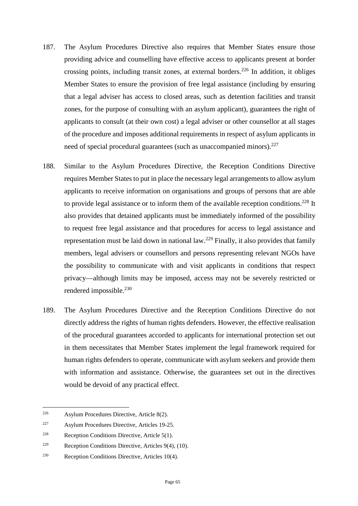- 187. The Asylum Procedures Directive also requires that Member States ensure those providing advice and counselling have effective access to applicants present at border crossing points, including transit zones, at external borders.<sup>[226](#page-66-0)</sup> In addition, it obliges Member States to ensure the provision of free legal assistance (including by ensuring that a legal adviser has access to closed areas, such as detention facilities and transit zones, for the purpose of consulting with an asylum applicant), guarantees the right of applicants to consult (at their own cost) a legal adviser or other counsellor at all stages of the procedure and imposes additional requirements in respect of asylum applicants in need of special procedural guarantees (such as unaccompanied minors).<sup>[227](#page-66-1)</sup>
- 188. Similar to the Asylum Procedures Directive, the Reception Conditions Directive requires Member States to put in place the necessary legal arrangements to allow asylum applicants to receive information on organisations and groups of persons that are able to provide legal assistance or to inform them of the available reception conditions.<sup>[228](#page-66-2)</sup> It also provides that detained applicants must be immediately informed of the possibility to request free legal assistance and that procedures for access to legal assistance and representation must be laid down in national law.<sup>[229](#page-66-3)</sup> Finally, it also provides that family members, legal advisers or counsellors and persons representing relevant NGOs have the possibility to communicate with and visit applicants in conditions that respect privacy—although limits may be imposed, access may not be severely restricted or rendered impossible.<sup>[230](#page-66-4)</sup>
- 189. The Asylum Procedures Directive and the Reception Conditions Directive do not directly address the rights of human rights defenders. However, the effective realisation of the procedural guarantees accorded to applicants for international protection set out in them necessitates that Member States implement the legal framework required for human rights defenders to operate, communicate with asylum seekers and provide them with information and assistance. Otherwise, the guarantees set out in the directives would be devoid of any practical effect.

<span id="page-66-0"></span><sup>226</sup> Asylum Procedures Directive, Article 8(2).

<span id="page-66-1"></span><sup>227</sup> Asylum Procedures Directive, Articles 19-25.

<span id="page-66-2"></span><sup>&</sup>lt;sup>228</sup> Reception Conditions Directive, Article 5(1).

<span id="page-66-3"></span><sup>&</sup>lt;sup>229</sup> Reception Conditions Directive, Articles  $9(4)$ ,  $(10)$ .

<span id="page-66-4"></span><sup>230</sup> Reception Conditions Directive, Articles 10(4).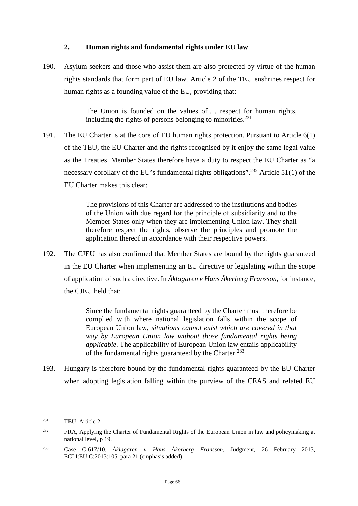### <span id="page-67-0"></span>**2. Human rights and fundamental rights under EU law**

190. Asylum seekers and those who assist them are also protected by virtue of the human rights standards that form part of EU law. Article 2 of the TEU enshrines respect for human rights as a founding value of the EU, providing that:

> The Union is founded on the values of … respect for human rights, including the rights of persons belonging to minorities. $^{231}$  $^{231}$  $^{231}$

191. The EU Charter is at the core of EU human rights protection. Pursuant to Article 6(1) of the TEU, the EU Charter and the rights recognised by it enjoy the same legal value as the Treaties. Member States therefore have a duty to respect the EU Charter as "a necessary corollary of the EU's fundamental rights obligations".<sup>[232](#page-67-2)</sup> Article 51(1) of the EU Charter makes this clear:

> The provisions of this Charter are addressed to the institutions and bodies of the Union with due regard for the principle of subsidiarity and to the Member States only when they are implementing Union law. They shall therefore respect the rights, observe the principles and promote the application thereof in accordance with their respective powers.

192. The CJEU has also confirmed that Member States are bound by the rights guaranteed in the EU Charter when implementing an EU directive or legislating within the scope of application of such a directive. In *Åklagaren v Hans Åkerberg Fransson*, for instance, the CJEU held that:

> Since the fundamental rights guaranteed by the Charter must therefore be complied with where national legislation falls within the scope of European Union law, *situations cannot exist which are covered in that way by European Union law without those fundamental rights being applicable*. The applicability of European Union law entails applicability of the fundamental rights guaranteed by the Charter.<sup>[233](#page-67-3)</sup>

193. Hungary is therefore bound by the fundamental rights guaranteed by the EU Charter when adopting legislation falling within the purview of the CEAS and related EU

<span id="page-67-1"></span><sup>231</sup> TEU, Article 2.

<span id="page-67-2"></span><sup>&</sup>lt;sup>232</sup> FRA, Applying the Charter of Fundamental Rights of the European Union in law and policymaking at national level, p 19.

<span id="page-67-3"></span><sup>233</sup> Case C-617/10, *Åklagaren v Hans Åkerberg Fransson*, Judgment, 26 February 2013, ECLI:EU:C:2013:105, para 21 (emphasis added).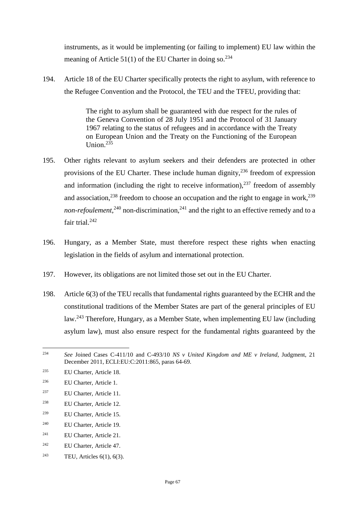instruments, as it would be implementing (or failing to implement) EU law within the meaning of Article 51(1) of the EU Charter in doing so.  $234$ 

194. Article 18 of the EU Charter specifically protects the right to asylum, with reference to the Refugee Convention and the Protocol, the TEU and the TFEU, providing that:

> The right to asylum shall be guaranteed with due respect for the rules of the Geneva Convention of 28 July 1951 and the Protocol of 31 January 1967 relating to the status of refugees and in accordance with the Treaty on European Union and the Treaty on the Functioning of the European Union $235$

- 195. Other rights relevant to asylum seekers and their defenders are protected in other provisions of the EU Charter. These include human dignity,  $236$  freedom of expression and information (including the right to receive information),  $237$  freedom of assembly and association,  $238$  freedom to choose an occupation and the right to engage in work,  $239$ non-refoulement,<sup>[240](#page-68-6)</sup> non-discrimination,<sup>[241](#page-68-7)</sup> and the right to an effective remedy and to a fair trial.<sup>[242](#page-68-8)</sup>
- 196. Hungary, as a Member State, must therefore respect these rights when enacting legislation in the fields of asylum and international protection.
- 197. However, its obligations are not limited those set out in the EU Charter.
- 198. Article 6(3) of the TEU recalls that fundamental rights guaranteed by the ECHR and the constitutional traditions of the Member States are part of the general principles of EU law.[243](#page-68-9) Therefore, Hungary, as a Member State, when implementing EU law (including asylum law), must also ensure respect for the fundamental rights guaranteed by the

- <span id="page-68-3"></span><sup>237</sup> EU Charter, Article 11.
- <span id="page-68-4"></span><sup>238</sup> EU Charter, Article 12.
- <span id="page-68-5"></span><sup>239</sup> EU Charter, Article 15.
- <span id="page-68-6"></span><sup>240</sup> EU Charter, Article 19.
- <span id="page-68-7"></span><sup>241</sup> EU Charter, Article 21.
- <span id="page-68-8"></span><sup>242</sup> EU Charter, Article 47.
- <span id="page-68-9"></span><sup>243</sup> TEU, Articles  $6(1)$ ,  $6(3)$ .

<span id="page-68-0"></span><sup>234</sup> *See* Joined Cases C-411/10 and C-493/10 *NS v United Kingdom and ME v Ireland*, Judgment, 21 December 2011, ECLI:EU:C:2011:865, paras 64-69.

<span id="page-68-1"></span><sup>235</sup> EU Charter, Article 18.

<span id="page-68-2"></span><sup>236</sup> EU Charter, Article 1.